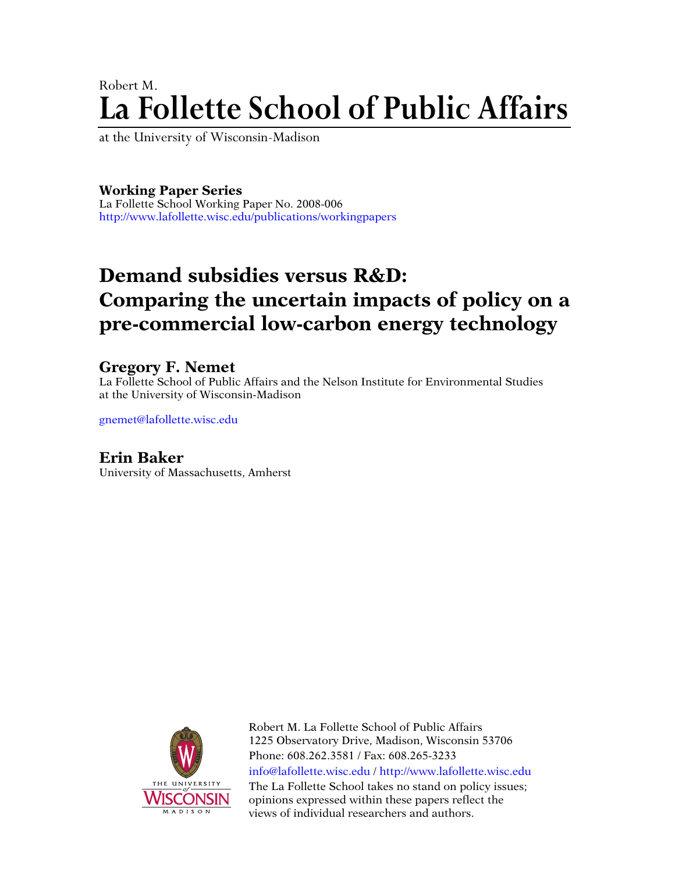# Robert M. **La Follette School of Public Affairs**

at the University of Wisconsin-Madison

## **Working Paper Series**

La Follette School Working Paper No. 2008-006 http://www.lafollette.wisc.edu/publications/workingpapers

## **Demand subsidies versus R&D: Comparing the uncertain impacts of policy on a pre-commercial low-carbon energy technology**

## **Gregory F. Nemet**

La Follette School of Public Affairs and the Nelson Institute for Environmental Studies at the University of Wisconsin-Madison

gnemet@lafollette.wisc.edu

## **Erin Baker**

University of Massachusetts, Amherst



Robert M. La Follette School of Public Affairs 1225 Observatory Drive, Madison, Wisconsin 53706 Phone: 608.262.3581 / Fax: 608.265-3233 info@lafollette.wisc.edu / http://www.lafollette.wisc.edu The La Follette School takes no stand on policy issues; opinions expressed within these papers reflect the views of individual researchers and authors.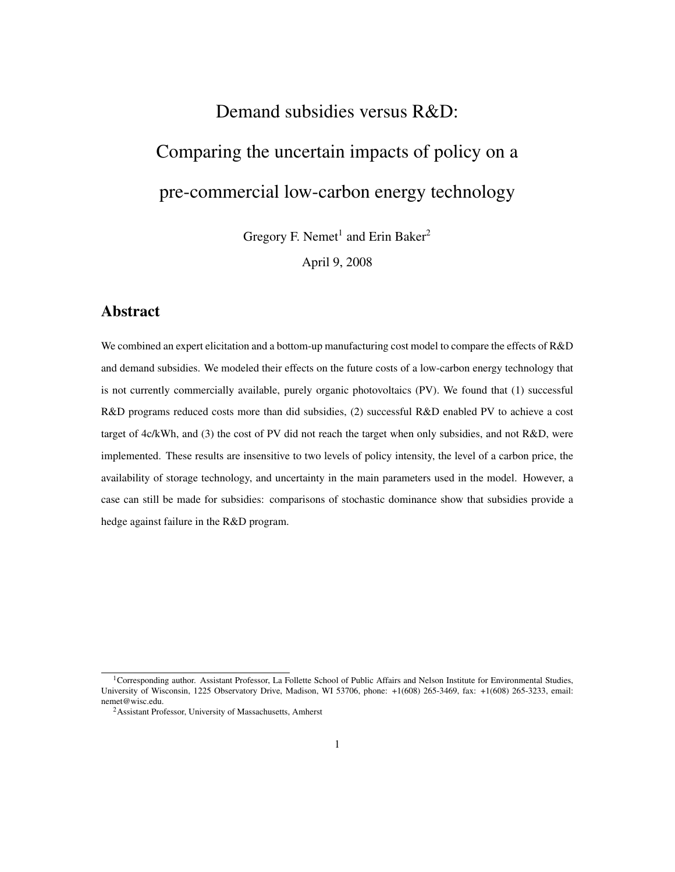# Demand subsidies versus R&D: Comparing the uncertain impacts of policy on a pre-commercial low-carbon energy technology

Gregory F. Nemet<sup>1</sup> and Erin Baker<sup>2</sup>

April 9, 2008

## Abstract

We combined an expert elicitation and a bottom-up manufacturing cost model to compare the effects of R&D and demand subsidies. We modeled their effects on the future costs of a low-carbon energy technology that is not currently commercially available, purely organic photovoltaics (PV). We found that (1) successful R&D programs reduced costs more than did subsidies, (2) successful R&D enabled PV to achieve a cost target of 4c/kWh, and (3) the cost of PV did not reach the target when only subsidies, and not R&D, were implemented. These results are insensitive to two levels of policy intensity, the level of a carbon price, the availability of storage technology, and uncertainty in the main parameters used in the model. However, a case can still be made for subsidies: comparisons of stochastic dominance show that subsidies provide a hedge against failure in the R&D program.

<sup>&</sup>lt;sup>1</sup>Corresponding author. Assistant Professor, La Follette School of Public Affairs and Nelson Institute for Environmental Studies, University of Wisconsin, 1225 Observatory Drive, Madison, WI 53706, phone: +1(608) 265-3469, fax: +1(608) 265-3233, email: nemet@wisc.edu.

<sup>2</sup>Assistant Professor, University of Massachusetts, Amherst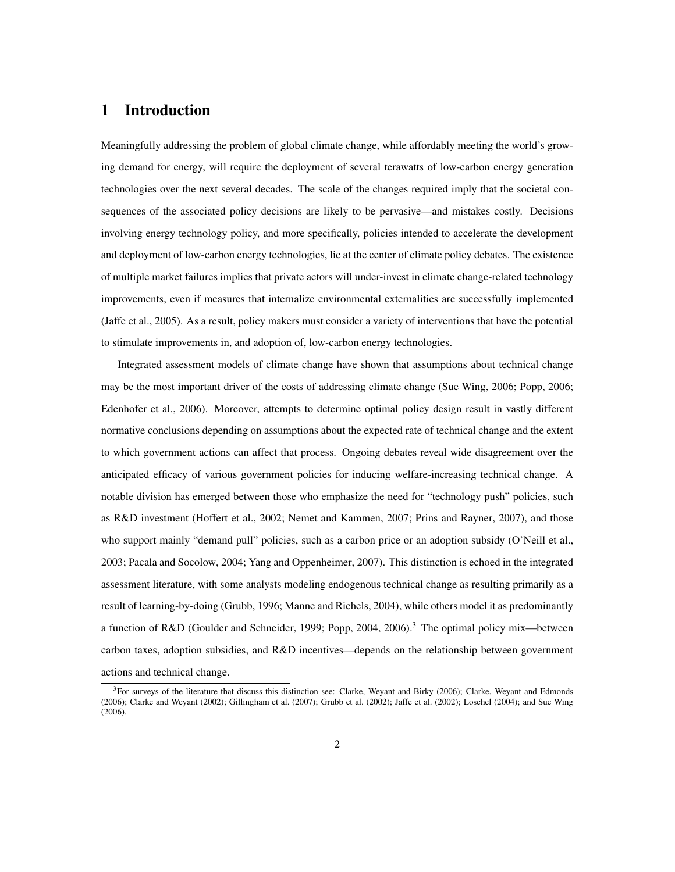## 1 Introduction

Meaningfully addressing the problem of global climate change, while affordably meeting the world's growing demand for energy, will require the deployment of several terawatts of low-carbon energy generation technologies over the next several decades. The scale of the changes required imply that the societal consequences of the associated policy decisions are likely to be pervasive—and mistakes costly. Decisions involving energy technology policy, and more specifically, policies intended to accelerate the development and deployment of low-carbon energy technologies, lie at the center of climate policy debates. The existence of multiple market failures implies that private actors will under-invest in climate change-related technology improvements, even if measures that internalize environmental externalities are successfully implemented (Jaffe et al., 2005). As a result, policy makers must consider a variety of interventions that have the potential to stimulate improvements in, and adoption of, low-carbon energy technologies.

Integrated assessment models of climate change have shown that assumptions about technical change may be the most important driver of the costs of addressing climate change (Sue Wing, 2006; Popp, 2006; Edenhofer et al., 2006). Moreover, attempts to determine optimal policy design result in vastly different normative conclusions depending on assumptions about the expected rate of technical change and the extent to which government actions can affect that process. Ongoing debates reveal wide disagreement over the anticipated efficacy of various government policies for inducing welfare-increasing technical change. A notable division has emerged between those who emphasize the need for "technology push" policies, such as R&D investment (Hoffert et al., 2002; Nemet and Kammen, 2007; Prins and Rayner, 2007), and those who support mainly "demand pull" policies, such as a carbon price or an adoption subsidy (O'Neill et al., 2003; Pacala and Socolow, 2004; Yang and Oppenheimer, 2007). This distinction is echoed in the integrated assessment literature, with some analysts modeling endogenous technical change as resulting primarily as a result of learning-by-doing (Grubb, 1996; Manne and Richels, 2004), while others model it as predominantly a function of R&D (Goulder and Schneider, 1999; Popp, 2004, 2006).<sup>3</sup> The optimal policy mix—between carbon taxes, adoption subsidies, and R&D incentives—depends on the relationship between government actions and technical change.

<sup>&</sup>lt;sup>3</sup>For surveys of the literature that discuss this distinction see: Clarke, Weyant and Birky (2006); Clarke, Weyant and Edmonds (2006); Clarke and Weyant (2002); Gillingham et al. (2007); Grubb et al. (2002); Jaffe et al. (2002); Loschel (2004); and Sue Wing (2006).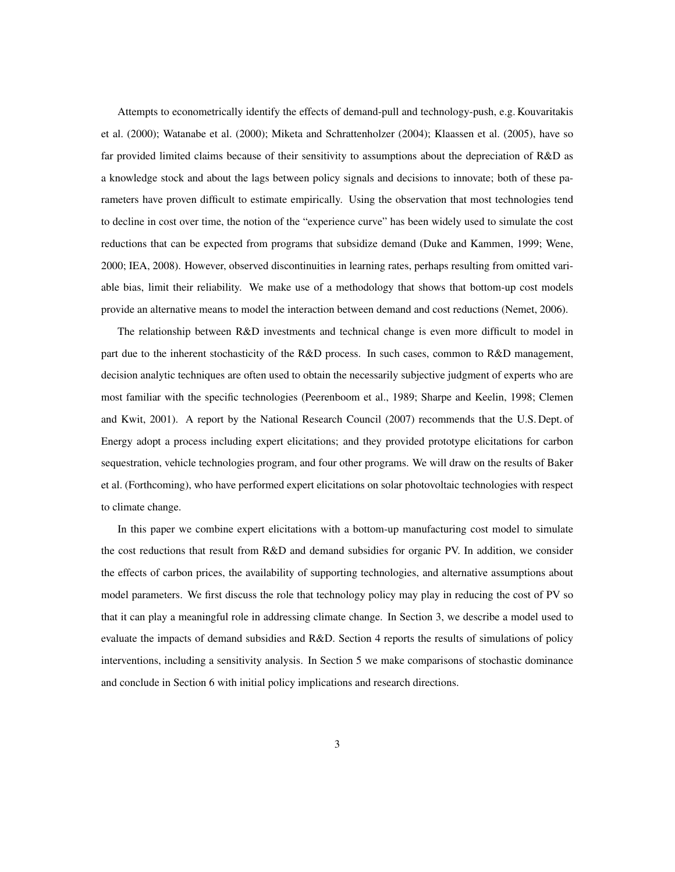Attempts to econometrically identify the effects of demand-pull and technology-push, e.g. Kouvaritakis et al. (2000); Watanabe et al. (2000); Miketa and Schrattenholzer (2004); Klaassen et al. (2005), have so far provided limited claims because of their sensitivity to assumptions about the depreciation of R&D as a knowledge stock and about the lags between policy signals and decisions to innovate; both of these parameters have proven difficult to estimate empirically. Using the observation that most technologies tend to decline in cost over time, the notion of the "experience curve" has been widely used to simulate the cost reductions that can be expected from programs that subsidize demand (Duke and Kammen, 1999; Wene, 2000; IEA, 2008). However, observed discontinuities in learning rates, perhaps resulting from omitted variable bias, limit their reliability. We make use of a methodology that shows that bottom-up cost models provide an alternative means to model the interaction between demand and cost reductions (Nemet, 2006).

The relationship between R&D investments and technical change is even more difficult to model in part due to the inherent stochasticity of the R&D process. In such cases, common to R&D management, decision analytic techniques are often used to obtain the necessarily subjective judgment of experts who are most familiar with the specific technologies (Peerenboom et al., 1989; Sharpe and Keelin, 1998; Clemen and Kwit, 2001). A report by the National Research Council (2007) recommends that the U.S. Dept. of Energy adopt a process including expert elicitations; and they provided prototype elicitations for carbon sequestration, vehicle technologies program, and four other programs. We will draw on the results of Baker et al. (Forthcoming), who have performed expert elicitations on solar photovoltaic technologies with respect to climate change.

In this paper we combine expert elicitations with a bottom-up manufacturing cost model to simulate the cost reductions that result from R&D and demand subsidies for organic PV. In addition, we consider the effects of carbon prices, the availability of supporting technologies, and alternative assumptions about model parameters. We first discuss the role that technology policy may play in reducing the cost of PV so that it can play a meaningful role in addressing climate change. In Section 3, we describe a model used to evaluate the impacts of demand subsidies and R&D. Section 4 reports the results of simulations of policy interventions, including a sensitivity analysis. In Section 5 we make comparisons of stochastic dominance and conclude in Section 6 with initial policy implications and research directions.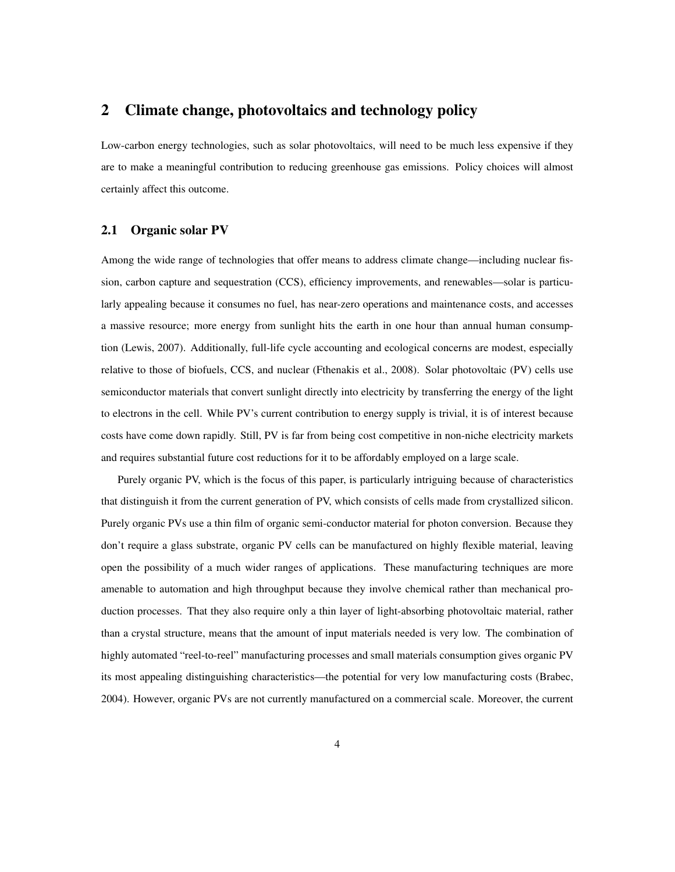## 2 Climate change, photovoltaics and technology policy

Low-carbon energy technologies, such as solar photovoltaics, will need to be much less expensive if they are to make a meaningful contribution to reducing greenhouse gas emissions. Policy choices will almost certainly affect this outcome.

#### 2.1 Organic solar PV

Among the wide range of technologies that offer means to address climate change—including nuclear fission, carbon capture and sequestration (CCS), efficiency improvements, and renewables—solar is particularly appealing because it consumes no fuel, has near-zero operations and maintenance costs, and accesses a massive resource; more energy from sunlight hits the earth in one hour than annual human consumption (Lewis, 2007). Additionally, full-life cycle accounting and ecological concerns are modest, especially relative to those of biofuels, CCS, and nuclear (Fthenakis et al., 2008). Solar photovoltaic (PV) cells use semiconductor materials that convert sunlight directly into electricity by transferring the energy of the light to electrons in the cell. While PV's current contribution to energy supply is trivial, it is of interest because costs have come down rapidly. Still, PV is far from being cost competitive in non-niche electricity markets and requires substantial future cost reductions for it to be affordably employed on a large scale.

Purely organic PV, which is the focus of this paper, is particularly intriguing because of characteristics that distinguish it from the current generation of PV, which consists of cells made from crystallized silicon. Purely organic PVs use a thin film of organic semi-conductor material for photon conversion. Because they don't require a glass substrate, organic PV cells can be manufactured on highly flexible material, leaving open the possibility of a much wider ranges of applications. These manufacturing techniques are more amenable to automation and high throughput because they involve chemical rather than mechanical production processes. That they also require only a thin layer of light-absorbing photovoltaic material, rather than a crystal structure, means that the amount of input materials needed is very low. The combination of highly automated "reel-to-reel" manufacturing processes and small materials consumption gives organic PV its most appealing distinguishing characteristics—the potential for very low manufacturing costs (Brabec, 2004). However, organic PVs are not currently manufactured on a commercial scale. Moreover, the current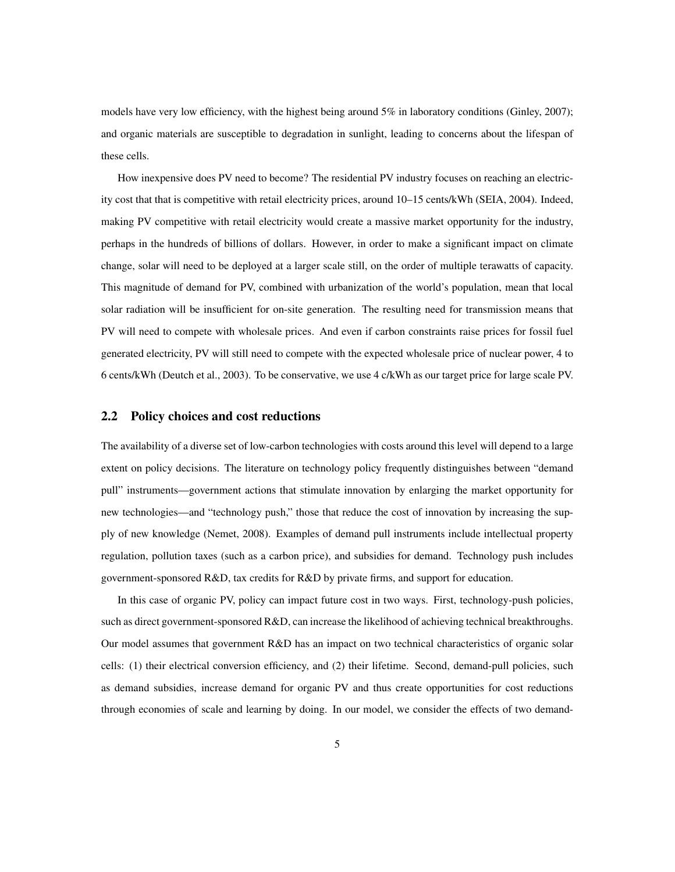models have very low efficiency, with the highest being around 5% in laboratory conditions (Ginley, 2007); and organic materials are susceptible to degradation in sunlight, leading to concerns about the lifespan of these cells.

How inexpensive does PV need to become? The residential PV industry focuses on reaching an electricity cost that that is competitive with retail electricity prices, around 10–15 cents/kWh (SEIA, 2004). Indeed, making PV competitive with retail electricity would create a massive market opportunity for the industry, perhaps in the hundreds of billions of dollars. However, in order to make a significant impact on climate change, solar will need to be deployed at a larger scale still, on the order of multiple terawatts of capacity. This magnitude of demand for PV, combined with urbanization of the world's population, mean that local solar radiation will be insufficient for on-site generation. The resulting need for transmission means that PV will need to compete with wholesale prices. And even if carbon constraints raise prices for fossil fuel generated electricity, PV will still need to compete with the expected wholesale price of nuclear power, 4 to 6 cents/kWh (Deutch et al., 2003). To be conservative, we use 4 c/kWh as our target price for large scale PV.

#### 2.2 Policy choices and cost reductions

The availability of a diverse set of low-carbon technologies with costs around this level will depend to a large extent on policy decisions. The literature on technology policy frequently distinguishes between "demand pull" instruments—government actions that stimulate innovation by enlarging the market opportunity for new technologies—and "technology push," those that reduce the cost of innovation by increasing the supply of new knowledge (Nemet, 2008). Examples of demand pull instruments include intellectual property regulation, pollution taxes (such as a carbon price), and subsidies for demand. Technology push includes government-sponsored R&D, tax credits for R&D by private firms, and support for education.

In this case of organic PV, policy can impact future cost in two ways. First, technology-push policies, such as direct government-sponsored R&D, can increase the likelihood of achieving technical breakthroughs. Our model assumes that government R&D has an impact on two technical characteristics of organic solar cells: (1) their electrical conversion efficiency, and (2) their lifetime. Second, demand-pull policies, such as demand subsidies, increase demand for organic PV and thus create opportunities for cost reductions through economies of scale and learning by doing. In our model, we consider the effects of two demand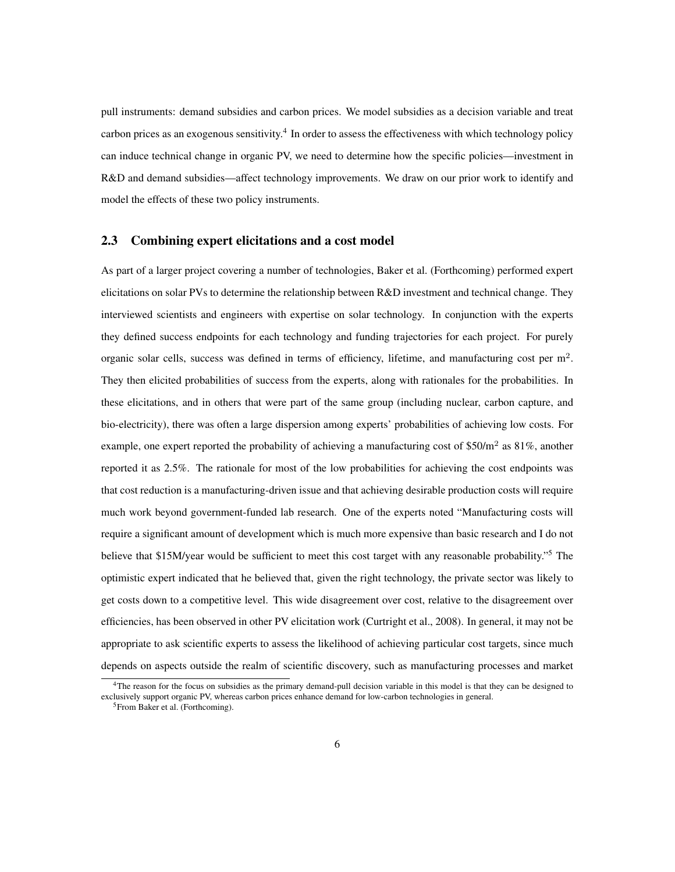pull instruments: demand subsidies and carbon prices. We model subsidies as a decision variable and treat carbon prices as an exogenous sensitivity.<sup>4</sup> In order to assess the effectiveness with which technology policy can induce technical change in organic PV, we need to determine how the specific policies—investment in R&D and demand subsidies—affect technology improvements. We draw on our prior work to identify and model the effects of these two policy instruments.

#### 2.3 Combining expert elicitations and a cost model

As part of a larger project covering a number of technologies, Baker et al. (Forthcoming) performed expert elicitations on solar PVs to determine the relationship between R&D investment and technical change. They interviewed scientists and engineers with expertise on solar technology. In conjunction with the experts they defined success endpoints for each technology and funding trajectories for each project. For purely organic solar cells, success was defined in terms of efficiency, lifetime, and manufacturing cost per  $m^2$ . They then elicited probabilities of success from the experts, along with rationales for the probabilities. In these elicitations, and in others that were part of the same group (including nuclear, carbon capture, and bio-electricity), there was often a large dispersion among experts' probabilities of achieving low costs. For example, one expert reported the probability of achieving a manufacturing cost of \$50/m<sup>2</sup> as 81%, another reported it as 2.5%. The rationale for most of the low probabilities for achieving the cost endpoints was that cost reduction is a manufacturing-driven issue and that achieving desirable production costs will require much work beyond government-funded lab research. One of the experts noted "Manufacturing costs will require a significant amount of development which is much more expensive than basic research and I do not believe that \$15M/year would be sufficient to meet this cost target with any reasonable probability."<sup>5</sup> The optimistic expert indicated that he believed that, given the right technology, the private sector was likely to get costs down to a competitive level. This wide disagreement over cost, relative to the disagreement over efficiencies, has been observed in other PV elicitation work (Curtright et al., 2008). In general, it may not be appropriate to ask scientific experts to assess the likelihood of achieving particular cost targets, since much depends on aspects outside the realm of scientific discovery, such as manufacturing processes and market

<sup>4</sup>The reason for the focus on subsidies as the primary demand-pull decision variable in this model is that they can be designed to exclusively support organic PV, whereas carbon prices enhance demand for low-carbon technologies in general.

<sup>5</sup>From Baker et al. (Forthcoming).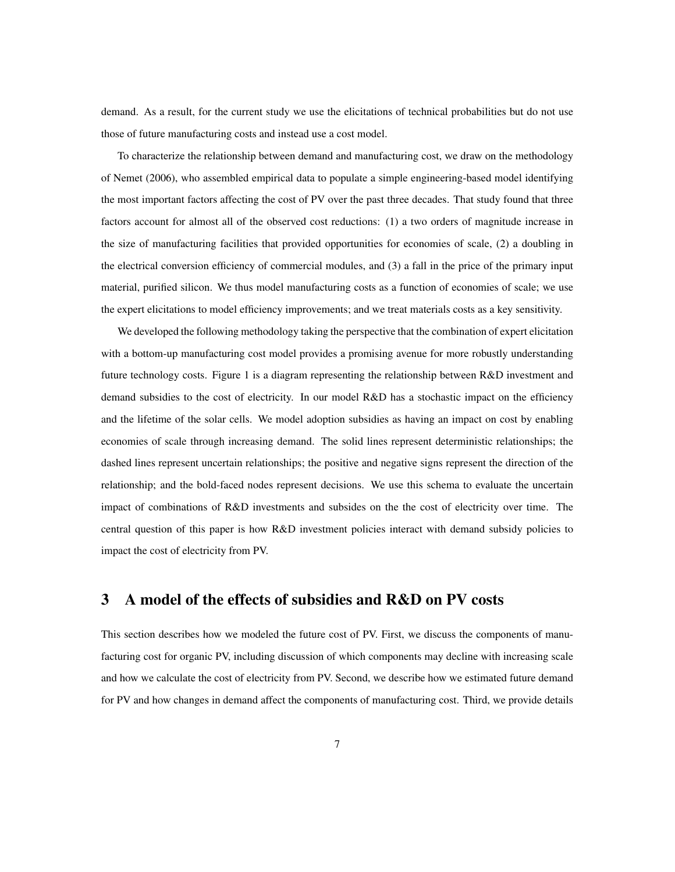demand. As a result, for the current study we use the elicitations of technical probabilities but do not use those of future manufacturing costs and instead use a cost model.

To characterize the relationship between demand and manufacturing cost, we draw on the methodology of Nemet (2006), who assembled empirical data to populate a simple engineering-based model identifying the most important factors affecting the cost of PV over the past three decades. That study found that three factors account for almost all of the observed cost reductions: (1) a two orders of magnitude increase in the size of manufacturing facilities that provided opportunities for economies of scale, (2) a doubling in the electrical conversion efficiency of commercial modules, and (3) a fall in the price of the primary input material, purified silicon. We thus model manufacturing costs as a function of economies of scale; we use the expert elicitations to model efficiency improvements; and we treat materials costs as a key sensitivity.

We developed the following methodology taking the perspective that the combination of expert elicitation with a bottom-up manufacturing cost model provides a promising avenue for more robustly understanding future technology costs. Figure 1 is a diagram representing the relationship between R&D investment and demand subsidies to the cost of electricity. In our model R&D has a stochastic impact on the efficiency and the lifetime of the solar cells. We model adoption subsidies as having an impact on cost by enabling economies of scale through increasing demand. The solid lines represent deterministic relationships; the dashed lines represent uncertain relationships; the positive and negative signs represent the direction of the relationship; and the bold-faced nodes represent decisions. We use this schema to evaluate the uncertain impact of combinations of R&D investments and subsides on the the cost of electricity over time. The central question of this paper is how R&D investment policies interact with demand subsidy policies to impact the cost of electricity from PV.

## 3 A model of the effects of subsidies and R&D on PV costs

This section describes how we modeled the future cost of PV. First, we discuss the components of manufacturing cost for organic PV, including discussion of which components may decline with increasing scale and how we calculate the cost of electricity from PV. Second, we describe how we estimated future demand for PV and how changes in demand affect the components of manufacturing cost. Third, we provide details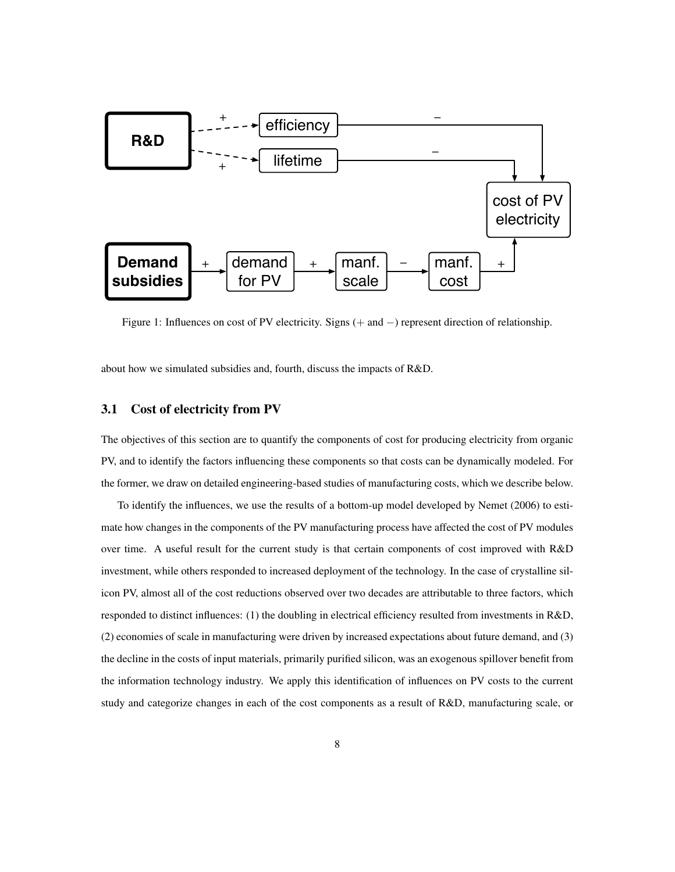

Figure 1: Influences on cost of PV electricity. Signs (+ and −) represent direction of relationship.

about how we simulated subsidies and, fourth, discuss the impacts of R&D.

#### 3.1 Cost of electricity from PV

The objectives of this section are to quantify the components of cost for producing electricity from organic PV, and to identify the factors influencing these components so that costs can be dynamically modeled. For the former, we draw on detailed engineering-based studies of manufacturing costs, which we describe below.

To identify the influences, we use the results of a bottom-up model developed by Nemet (2006) to estimate how changes in the components of the PV manufacturing process have affected the cost of PV modules over time. A useful result for the current study is that certain components of cost improved with R&D investment, while others responded to increased deployment of the technology. In the case of crystalline silicon PV, almost all of the cost reductions observed over two decades are attributable to three factors, which responded to distinct influences: (1) the doubling in electrical efficiency resulted from investments in R&D, (2) economies of scale in manufacturing were driven by increased expectations about future demand, and (3) the decline in the costs of input materials, primarily purified silicon, was an exogenous spillover benefit from the information technology industry. We apply this identification of influences on PV costs to the current study and categorize changes in each of the cost components as a result of R&D, manufacturing scale, or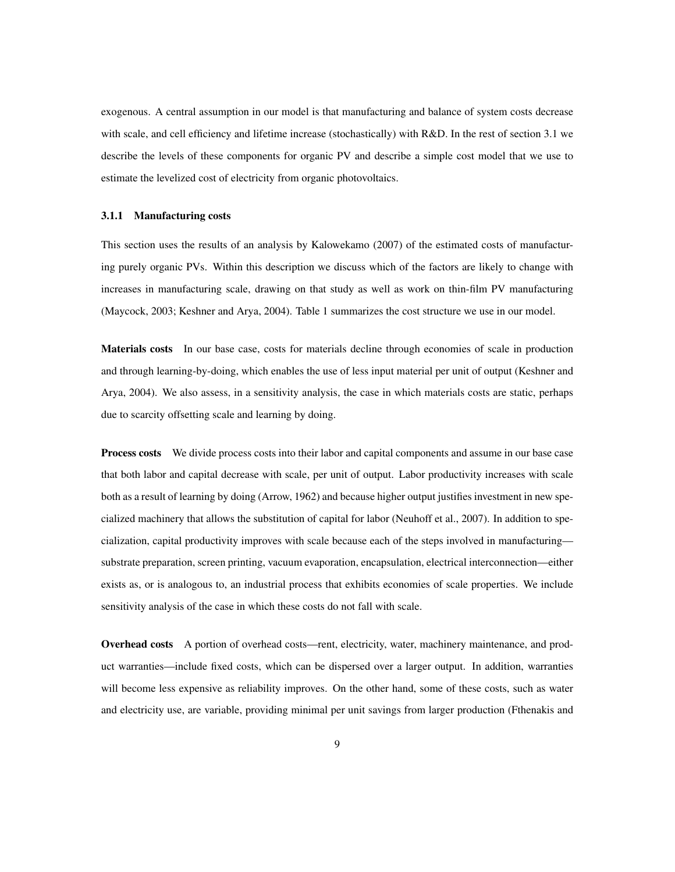exogenous. A central assumption in our model is that manufacturing and balance of system costs decrease with scale, and cell efficiency and lifetime increase (stochastically) with R&D. In the rest of section 3.1 we describe the levels of these components for organic PV and describe a simple cost model that we use to estimate the levelized cost of electricity from organic photovoltaics.

#### 3.1.1 Manufacturing costs

This section uses the results of an analysis by Kalowekamo (2007) of the estimated costs of manufacturing purely organic PVs. Within this description we discuss which of the factors are likely to change with increases in manufacturing scale, drawing on that study as well as work on thin-film PV manufacturing (Maycock, 2003; Keshner and Arya, 2004). Table 1 summarizes the cost structure we use in our model.

Materials costs In our base case, costs for materials decline through economies of scale in production and through learning-by-doing, which enables the use of less input material per unit of output (Keshner and Arya, 2004). We also assess, in a sensitivity analysis, the case in which materials costs are static, perhaps due to scarcity offsetting scale and learning by doing.

Process costs We divide process costs into their labor and capital components and assume in our base case that both labor and capital decrease with scale, per unit of output. Labor productivity increases with scale both as a result of learning by doing (Arrow, 1962) and because higher output justifies investment in new specialized machinery that allows the substitution of capital for labor (Neuhoff et al., 2007). In addition to specialization, capital productivity improves with scale because each of the steps involved in manufacturing substrate preparation, screen printing, vacuum evaporation, encapsulation, electrical interconnection—either exists as, or is analogous to, an industrial process that exhibits economies of scale properties. We include sensitivity analysis of the case in which these costs do not fall with scale.

Overhead costs A portion of overhead costs—rent, electricity, water, machinery maintenance, and product warranties—include fixed costs, which can be dispersed over a larger output. In addition, warranties will become less expensive as reliability improves. On the other hand, some of these costs, such as water and electricity use, are variable, providing minimal per unit savings from larger production (Fthenakis and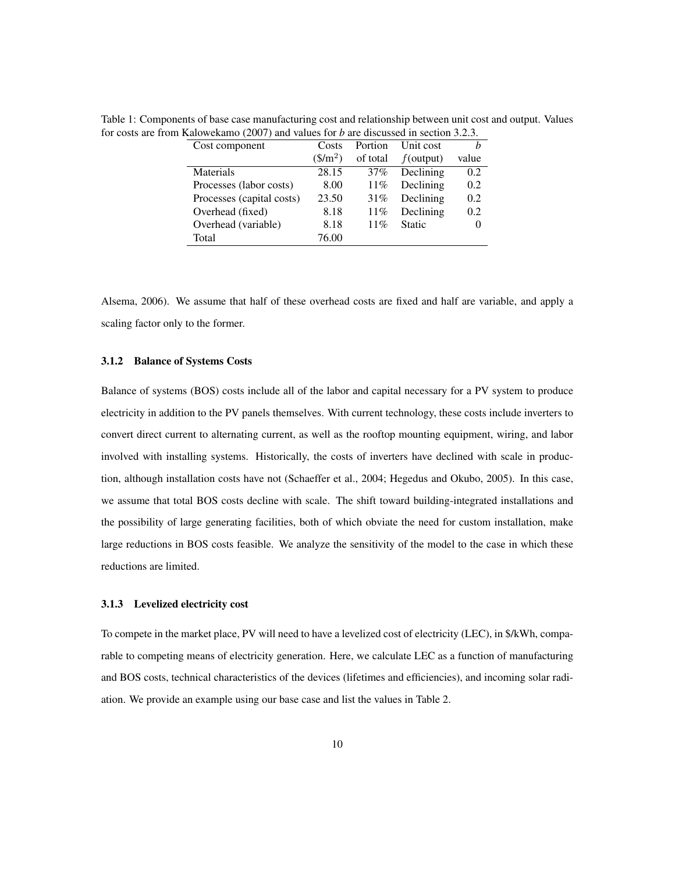| Cost component            | Costs                       | Portion  | Unit cost     | h                |
|---------------------------|-----------------------------|----------|---------------|------------------|
|                           | $(\frac{\mathcal{S}}{m^2})$ | of total | $f$ (output)  | value            |
| Materials                 | 28.15                       | 37%      | Declining     | 0.2              |
| Processes (labor costs)   | 8.00                        | 11%      | Declining     | 0.2              |
| Processes (capital costs) | 23.50                       | 31%      | Declining     | 0.2              |
| Overhead (fixed)          | 8.18                        | 11%      | Declining     | 0.2              |
| Overhead (variable)       | 8.18                        | 11%      | <b>Static</b> | $\left( \right)$ |
| Total                     | 76.00                       |          |               |                  |

Table 1: Components of base case manufacturing cost and relationship between unit cost and output. Values for costs are from Kalowekamo (2007) and values for *b* are discussed in section 3.2.3.

Alsema, 2006). We assume that half of these overhead costs are fixed and half are variable, and apply a scaling factor only to the former.

#### 3.1.2 Balance of Systems Costs

Balance of systems (BOS) costs include all of the labor and capital necessary for a PV system to produce electricity in addition to the PV panels themselves. With current technology, these costs include inverters to convert direct current to alternating current, as well as the rooftop mounting equipment, wiring, and labor involved with installing systems. Historically, the costs of inverters have declined with scale in production, although installation costs have not (Schaeffer et al., 2004; Hegedus and Okubo, 2005). In this case, we assume that total BOS costs decline with scale. The shift toward building-integrated installations and the possibility of large generating facilities, both of which obviate the need for custom installation, make large reductions in BOS costs feasible. We analyze the sensitivity of the model to the case in which these reductions are limited.

#### 3.1.3 Levelized electricity cost

To compete in the market place, PV will need to have a levelized cost of electricity (LEC), in \$/kWh, comparable to competing means of electricity generation. Here, we calculate LEC as a function of manufacturing and BOS costs, technical characteristics of the devices (lifetimes and efficiencies), and incoming solar radiation. We provide an example using our base case and list the values in Table 2.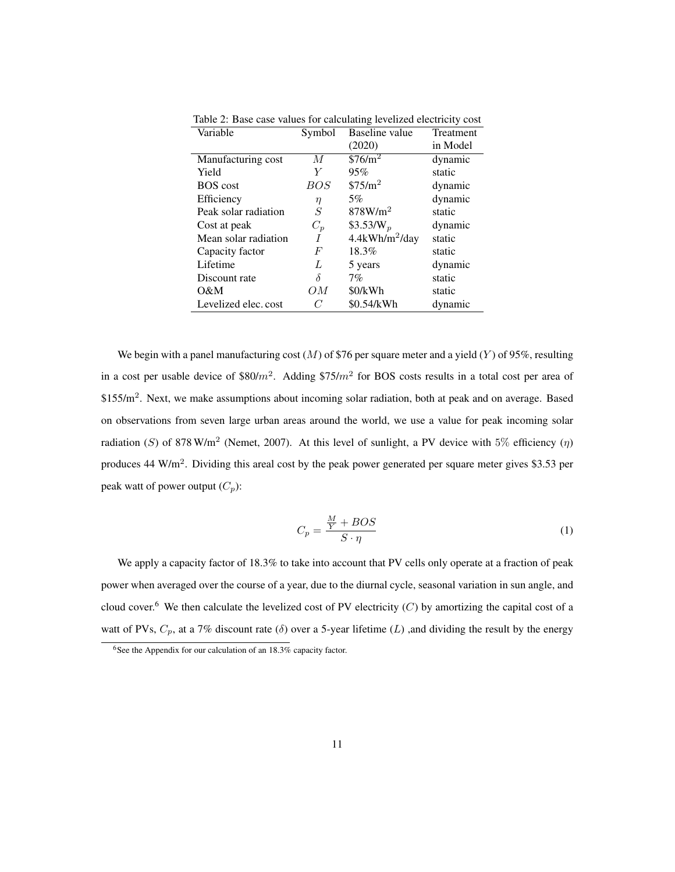| Variable             | Symbol | Baseline value                | Treatment |
|----------------------|--------|-------------------------------|-----------|
|                      |        | (2020)                        | in Model  |
| Manufacturing cost   | M      | $$76/m^2$                     | dynamic   |
| Yield                | Y      | 95%                           | static    |
| <b>BOS</b> cost      | BOS    | $$75/m^2$                     | dynamic   |
| Efficiency           | η      | $5\%$                         | dynamic   |
| Peak solar radiation | S      | 878W/m <sup>2</sup>           | static    |
| Cost at peak         | $C_p$  | \$3.53/ $W_p$                 | dynamic   |
| Mean solar radiation | I      | $4.4$ kWh/m <sup>2</sup> /day | static    |
| Capacity factor      | F      | 18.3%                         | static    |
| Lifetime             | L      | 5 years                       | dynamic   |
| Discount rate        | δ      | 7%                            | static    |
| O&M                  | OМ     | \$0/kWh                       | static    |
| Levelized elec. cost | C      | \$0.54/kWh                    | dynamic   |

Table 2: Base case values for calculating levelized electricity cost

We begin with a panel manufacturing cost  $(M)$  of \$76 per square meter and a yield  $(Y)$  of 95%, resulting in a cost per usable device of \$80/ $m^2$ . Adding \$75/ $m^2$  for BOS costs results in a total cost per area of \$155/m<sup>2</sup>. Next, we make assumptions about incoming solar radiation, both at peak and on average. Based on observations from seven large urban areas around the world, we use a value for peak incoming solar radiation (S) of 878 W/m<sup>2</sup> (Nemet, 2007). At this level of sunlight, a PV device with 5% efficiency ( $\eta$ ) produces 44 W/m<sup>2</sup>. Dividing this areal cost by the peak power generated per square meter gives \$3.53 per peak watt of power output  $(C_p)$ :

$$
C_p = \frac{\frac{M}{Y} + BOS}{S \cdot \eta} \tag{1}
$$

We apply a capacity factor of 18.3% to take into account that PV cells only operate at a fraction of peak power when averaged over the course of a year, due to the diurnal cycle, seasonal variation in sun angle, and cloud cover.<sup>6</sup> We then calculate the levelized cost of PV electricity  $(C)$  by amortizing the capital cost of a watt of PVs,  $C_p$ , at a 7% discount rate ( $\delta$ ) over a 5-year lifetime (L), and dividing the result by the energy

<sup>&</sup>lt;sup>6</sup>See the Appendix for our calculation of an  $18.3\%$  capacity factor.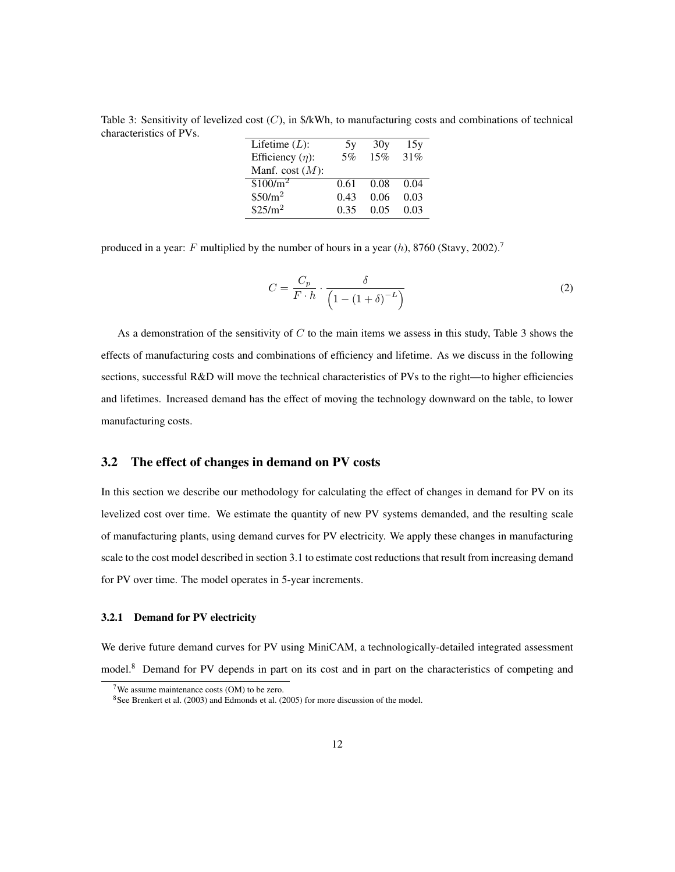Table 3: Sensitivity of levelized cost (C), in \$/kWh, to manufacturing costs and combinations of technical characteristics of PVs.

| Lifetime $(L)$ :      | 5v   | 30y  | 15y  |
|-----------------------|------|------|------|
| Efficiency $(\eta)$ : | 5%   | 15%  | 31%  |
| Manf. cost $(M)$ :    |      |      |      |
| \$100/m <sup>2</sup>  | 0.61 | 0.08 | 0.04 |
| $$50/m^2$             | 0.43 | 0.06 | 0.03 |
| $$25/m^2$             | 0.35 | 0.05 | 0.03 |

produced in a year: F multiplied by the number of hours in a year  $(h)$ , 8760 (Stavy, 2002).<sup>7</sup>

$$
C = \frac{C_p}{F \cdot h} \cdot \frac{\delta}{\left(1 - (1 + \delta)^{-L}\right)}\tag{2}
$$

As a demonstration of the sensitivity of  $C$  to the main items we assess in this study, Table 3 shows the effects of manufacturing costs and combinations of efficiency and lifetime. As we discuss in the following sections, successful R&D will move the technical characteristics of PVs to the right—to higher efficiencies and lifetimes. Increased demand has the effect of moving the technology downward on the table, to lower manufacturing costs.

#### 3.2 The effect of changes in demand on PV costs

In this section we describe our methodology for calculating the effect of changes in demand for PV on its levelized cost over time. We estimate the quantity of new PV systems demanded, and the resulting scale of manufacturing plants, using demand curves for PV electricity. We apply these changes in manufacturing scale to the cost model described in section 3.1 to estimate cost reductions that result from increasing demand for PV over time. The model operates in 5-year increments.

#### 3.2.1 Demand for PV electricity

We derive future demand curves for PV using MiniCAM, a technologically-detailed integrated assessment model.<sup>8</sup> Demand for PV depends in part on its cost and in part on the characteristics of competing and

<sup>7</sup>We assume maintenance costs (OM) to be zero.

<sup>&</sup>lt;sup>8</sup>See Brenkert et al. (2003) and Edmonds et al. (2005) for more discussion of the model.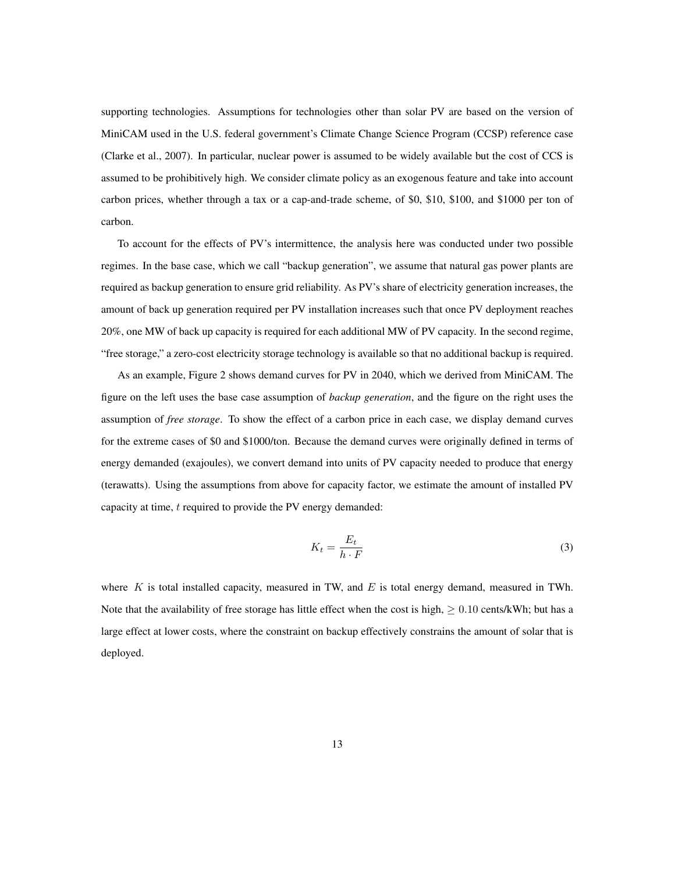supporting technologies. Assumptions for technologies other than solar PV are based on the version of MiniCAM used in the U.S. federal government's Climate Change Science Program (CCSP) reference case (Clarke et al., 2007). In particular, nuclear power is assumed to be widely available but the cost of CCS is assumed to be prohibitively high. We consider climate policy as an exogenous feature and take into account carbon prices, whether through a tax or a cap-and-trade scheme, of \$0, \$10, \$100, and \$1000 per ton of carbon.

To account for the effects of PV's intermittence, the analysis here was conducted under two possible regimes. In the base case, which we call "backup generation", we assume that natural gas power plants are required as backup generation to ensure grid reliability. As PV's share of electricity generation increases, the amount of back up generation required per PV installation increases such that once PV deployment reaches 20%, one MW of back up capacity is required for each additional MW of PV capacity. In the second regime, "free storage," a zero-cost electricity storage technology is available so that no additional backup is required.

As an example, Figure 2 shows demand curves for PV in 2040, which we derived from MiniCAM. The figure on the left uses the base case assumption of *backup generation*, and the figure on the right uses the assumption of *free storage*. To show the effect of a carbon price in each case, we display demand curves for the extreme cases of \$0 and \$1000/ton. Because the demand curves were originally defined in terms of energy demanded (exajoules), we convert demand into units of PV capacity needed to produce that energy (terawatts). Using the assumptions from above for capacity factor, we estimate the amount of installed PV capacity at time, t required to provide the PV energy demanded:

$$
K_t = \frac{E_t}{h \cdot F} \tag{3}
$$

where  $K$  is total installed capacity, measured in TW, and  $E$  is total energy demand, measured in TWh. Note that the availability of free storage has little effect when the cost is high,  $\geq 0.10$  cents/kWh; but has a large effect at lower costs, where the constraint on backup effectively constrains the amount of solar that is deployed.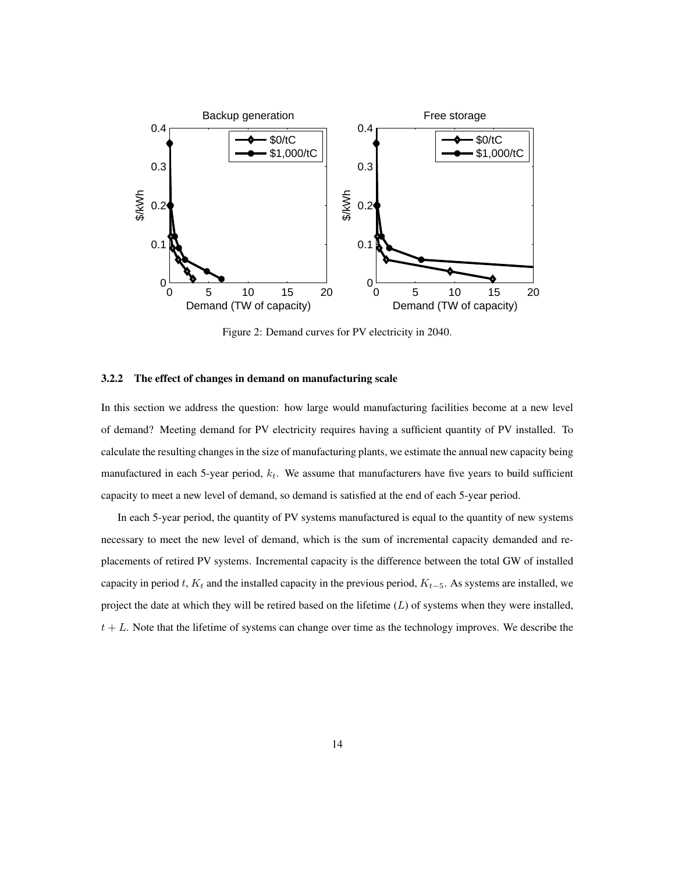

Figure 2: Demand curves for PV electricity in 2040.

#### 3.2.2 The effect of changes in demand on manufacturing scale

In this section we address the question: how large would manufacturing facilities become at a new level of demand? Meeting demand for PV electricity requires having a sufficient quantity of PV installed. To calculate the resulting changes in the size of manufacturing plants, we estimate the annual new capacity being manufactured in each 5-year period,  $k_t$ . We assume that manufacturers have five years to build sufficient capacity to meet a new level of demand, so demand is satisfied at the end of each 5-year period.

In each 5-year period, the quantity of PV systems manufactured is equal to the quantity of new systems necessary to meet the new level of demand, which is the sum of incremental capacity demanded and replacements of retired PV systems. Incremental capacity is the difference between the total GW of installed capacity in period t,  $K_t$  and the installed capacity in the previous period,  $K_{t-5}$ . As systems are installed, we project the date at which they will be retired based on the lifetime  $(L)$  of systems when they were installed,  $t + L$ . Note that the lifetime of systems can change over time as the technology improves. We describe the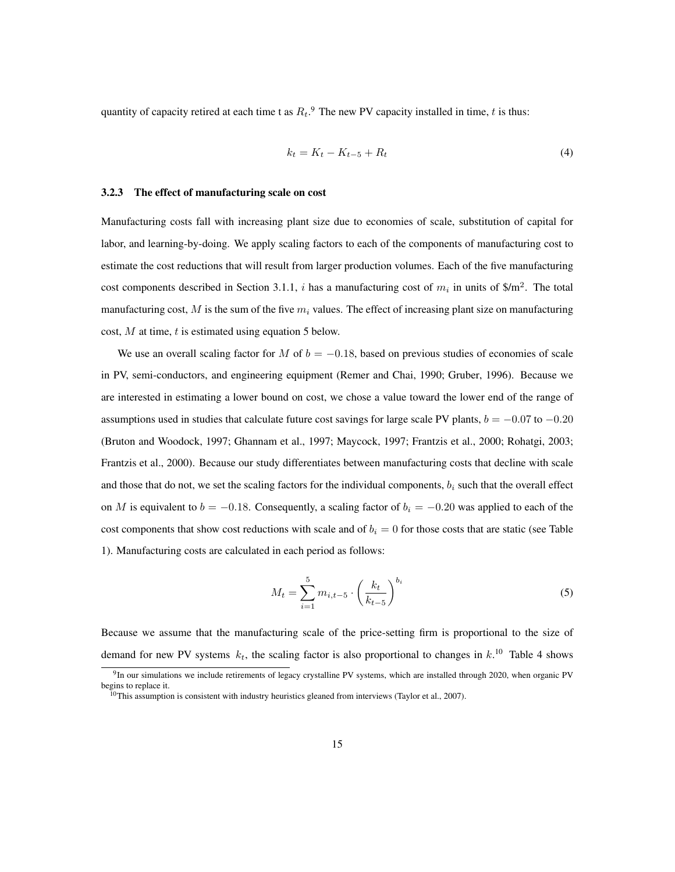quantity of capacity retired at each time t as  $R_t$ .<sup>9</sup> The new PV capacity installed in time, t is thus:

$$
k_t = K_t - K_{t-5} + R_t \tag{4}
$$

#### 3.2.3 The effect of manufacturing scale on cost

Manufacturing costs fall with increasing plant size due to economies of scale, substitution of capital for labor, and learning-by-doing. We apply scaling factors to each of the components of manufacturing cost to estimate the cost reductions that will result from larger production volumes. Each of the five manufacturing cost components described in Section 3.1.1, i has a manufacturing cost of  $m_i$  in units of \$/m<sup>2</sup>. The total manufacturing cost, M is the sum of the five  $m_i$  values. The effect of increasing plant size on manufacturing cost,  $M$  at time,  $t$  is estimated using equation 5 below.

We use an overall scaling factor for M of  $b = -0.18$ , based on previous studies of economies of scale in PV, semi-conductors, and engineering equipment (Remer and Chai, 1990; Gruber, 1996). Because we are interested in estimating a lower bound on cost, we chose a value toward the lower end of the range of assumptions used in studies that calculate future cost savings for large scale PV plants,  $b = -0.07$  to  $-0.20$ (Bruton and Woodock, 1997; Ghannam et al., 1997; Maycock, 1997; Frantzis et al., 2000; Rohatgi, 2003; Frantzis et al., 2000). Because our study differentiates between manufacturing costs that decline with scale and those that do not, we set the scaling factors for the individual components,  $b_i$  such that the overall effect on M is equivalent to  $b = -0.18$ . Consequently, a scaling factor of  $b_i = -0.20$  was applied to each of the cost components that show cost reductions with scale and of  $b_i = 0$  for those costs that are static (see Table 1). Manufacturing costs are calculated in each period as follows:

$$
M_t = \sum_{i=1}^{5} m_{i,t-5} \cdot \left(\frac{k_t}{k_{t-5}}\right)^{b_i}
$$
 (5)

Because we assume that the manufacturing scale of the price-setting firm is proportional to the size of demand for new PV systems  $k_t$ , the scaling factor is also proportional to changes in  $k$ .<sup>10</sup> Table 4 shows

<sup>&</sup>lt;sup>9</sup>In our simulations we include retirements of legacy crystalline PV systems, which are installed through 2020, when organic PV begins to replace it.

 $10$ This assumption is consistent with industry heuristics gleaned from interviews (Taylor et al., 2007).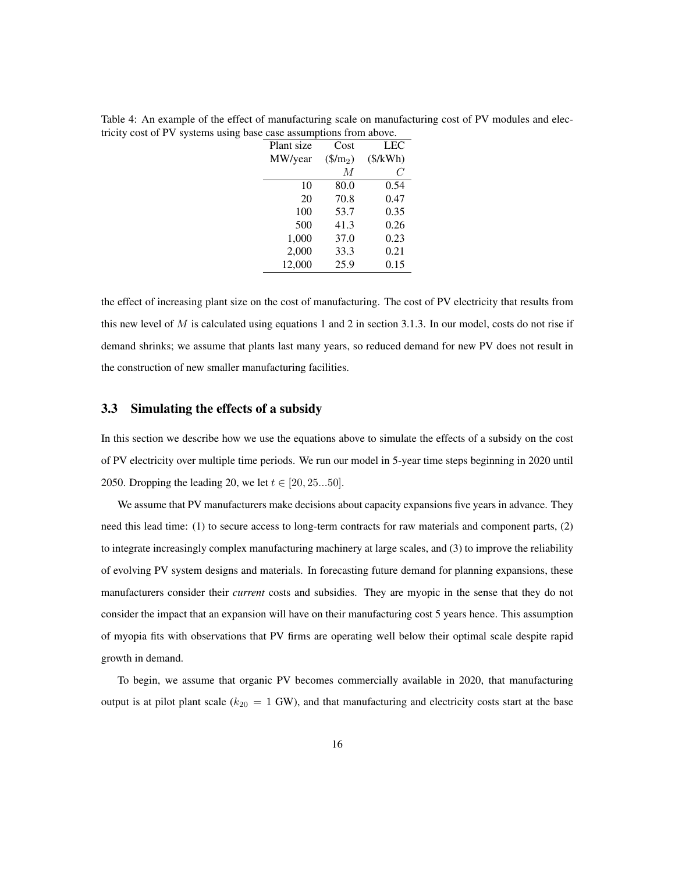| Plant size | Cost                        | LEC      |
|------------|-----------------------------|----------|
| MW/year    | $(\frac{\mathcal{S}}{m_2})$ | (\$/kWh) |
|            | M                           | C        |
| 10         | 80.0                        | 0.54     |
| 20         | 70.8                        | 0.47     |
| 100        | 53.7                        | 0.35     |
| 500        | 41.3                        | 0.26     |
| 1,000      | 37.0                        | 0.23     |
| 2,000      | 33.3                        | 0.21     |
| 12,000     | 25.9                        | 0.15     |
|            |                             |          |

Table 4: An example of the effect of manufacturing scale on manufacturing cost of PV modules and electricity cost of PV systems using base case assumptions from above.

the effect of increasing plant size on the cost of manufacturing. The cost of PV electricity that results from this new level of  $M$  is calculated using equations 1 and 2 in section 3.1.3. In our model, costs do not rise if demand shrinks; we assume that plants last many years, so reduced demand for new PV does not result in the construction of new smaller manufacturing facilities.

#### 3.3 Simulating the effects of a subsidy

In this section we describe how we use the equations above to simulate the effects of a subsidy on the cost of PV electricity over multiple time periods. We run our model in 5-year time steps beginning in 2020 until 2050. Dropping the leading 20, we let  $t \in [20, 25...50]$ .

We assume that PV manufacturers make decisions about capacity expansions five years in advance. They need this lead time: (1) to secure access to long-term contracts for raw materials and component parts, (2) to integrate increasingly complex manufacturing machinery at large scales, and (3) to improve the reliability of evolving PV system designs and materials. In forecasting future demand for planning expansions, these manufacturers consider their *current* costs and subsidies. They are myopic in the sense that they do not consider the impact that an expansion will have on their manufacturing cost 5 years hence. This assumption of myopia fits with observations that PV firms are operating well below their optimal scale despite rapid growth in demand.

To begin, we assume that organic PV becomes commercially available in 2020, that manufacturing output is at pilot plant scale ( $k_{20} = 1$  GW), and that manufacturing and electricity costs start at the base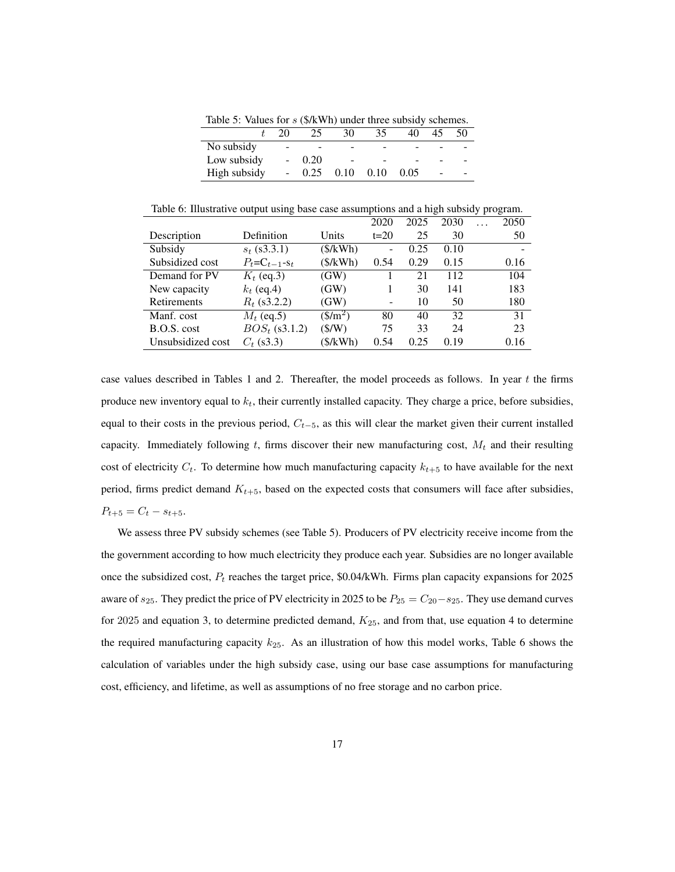Table 5: Values for s (\$/kWh) under three subsidy schemes.

|              | 20 | 25   | 30                       | 35   | 40   | 45 | 50 |
|--------------|----|------|--------------------------|------|------|----|----|
| No subsidy   | -  |      |                          |      |      |    |    |
| Low subsidy  |    | 0.20 | $\overline{\phantom{a}}$ |      |      |    |    |
| High subsidy |    | 0.25 | 0.10                     | 0.10 | 0.05 | -  |    |

Table 6: Illustrative output using base case assumptions and a high subsidy program.

|                       |                                 | 2020     | 2025 | 2030 | 2050 |
|-----------------------|---------------------------------|----------|------|------|------|
| Definition            | Units                           | $t = 20$ | 25   | 30   | 50   |
| $s_t$ (s3.3.1)        | (\$/kWh)                        | ۰        | 0.25 | 0.10 |      |
| $P_t = C_{t-1} - S_t$ | (\$/kWh)                        | 0.54     | 0.29 | 0.15 | 0.16 |
| $K_t$ (eq.3)          | (GW)                            |          | 21   | 112  | 104  |
| $k_t$ (eq.4)          | (GW)                            |          | 30   | 141  | 183  |
| $R_t$ (s3.2.2)        | (GW)                            | -        | 10   | 50   | 180  |
| $M_t$ (eq.5)          | $(\frac{\text{S}}{\text{m}^2})$ | 80       | 40   | 32   | 31   |
| $BOS_t$ (s3.1.2)      | $(\frac{S}{W})$                 | 75       | 33   | 24   | 23   |
| $C_t$ (s3.3)          | (\$/kWh)                        | 0.54     | 0.25 | 0.19 | 0.16 |
|                       |                                 |          |      |      |      |

case values described in Tables 1 and 2. Thereafter, the model proceeds as follows. In year t the firms produce new inventory equal to  $k_t$ , their currently installed capacity. They charge a price, before subsidies, equal to their costs in the previous period,  $C_{t-5}$ , as this will clear the market given their current installed capacity. Immediately following  $t$ , firms discover their new manufacturing cost,  $M_t$  and their resulting cost of electricity  $C_t$ . To determine how much manufacturing capacity  $k_{t+5}$  to have available for the next period, firms predict demand  $K_{t+5}$ , based on the expected costs that consumers will face after subsidies,  $P_{t+5} = C_t - s_{t+5}.$ 

We assess three PV subsidy schemes (see Table 5). Producers of PV electricity receive income from the the government according to how much electricity they produce each year. Subsidies are no longer available once the subsidized cost,  $P_t$  reaches the target price, \$0.04/kWh. Firms plan capacity expansions for 2025 aware of  $s_{25}$ . They predict the price of PV electricity in 2025 to be  $P_{25} = C_{20} - s_{25}$ . They use demand curves for 2025 and equation 3, to determine predicted demand,  $K_{25}$ , and from that, use equation 4 to determine the required manufacturing capacity  $k_{25}$ . As an illustration of how this model works, Table 6 shows the calculation of variables under the high subsidy case, using our base case assumptions for manufacturing cost, efficiency, and lifetime, as well as assumptions of no free storage and no carbon price.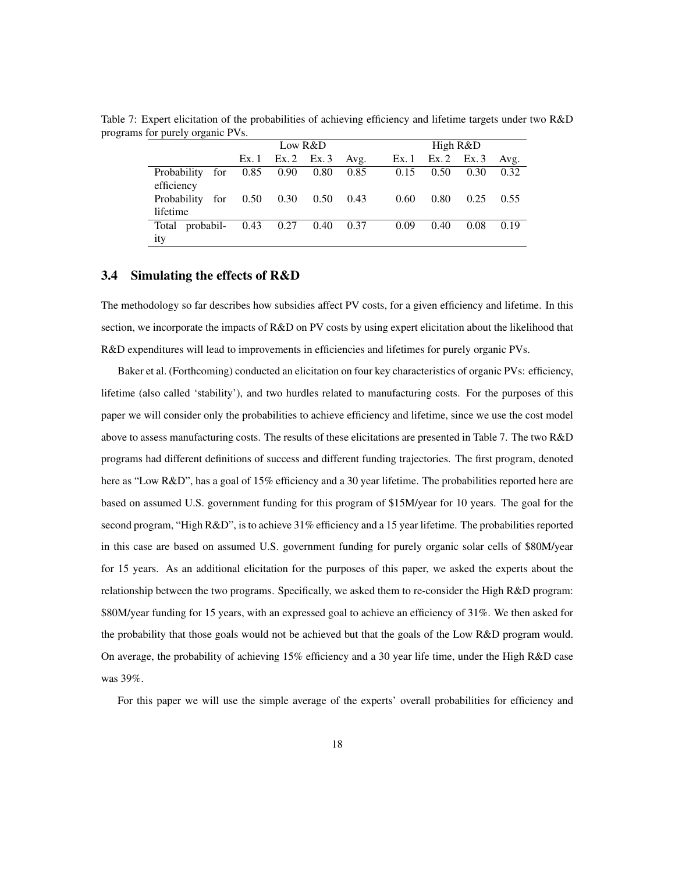|                                    |                  | Low R&D           |                  |      |      |                   | High $R&D$ |      |
|------------------------------------|------------------|-------------------|------------------|------|------|-------------------|------------|------|
|                                    |                  | Ex. 1 Ex. 2 Ex. 3 |                  | Avg. |      | Ex. 1 Ex. 2 Ex. 3 |            | Avg. |
| Probability for 0.85<br>efficiency |                  | 0.90              | 0.80             | 0.85 | 0.15 | 0.50              | 0.30       | 0.32 |
| Probability<br>lifetime            | for $0.50$       | 0.30              | 0.50             | 0.43 | 0.60 | 0.80              | 0.25       | 0.55 |
| Total probabil-<br>ity             | $0.43\qquad0.27$ |                   | $0.40\quad 0.37$ |      | 0.09 | 0.40              | 0.08       | 0.19 |

Table 7: Expert elicitation of the probabilities of achieving efficiency and lifetime targets under two R&D programs for purely organic PVs.

#### 3.4 Simulating the effects of R&D

The methodology so far describes how subsidies affect PV costs, for a given efficiency and lifetime. In this section, we incorporate the impacts of R&D on PV costs by using expert elicitation about the likelihood that R&D expenditures will lead to improvements in efficiencies and lifetimes for purely organic PVs.

Baker et al. (Forthcoming) conducted an elicitation on four key characteristics of organic PVs: efficiency, lifetime (also called 'stability'), and two hurdles related to manufacturing costs. For the purposes of this paper we will consider only the probabilities to achieve efficiency and lifetime, since we use the cost model above to assess manufacturing costs. The results of these elicitations are presented in Table 7. The two R&D programs had different definitions of success and different funding trajectories. The first program, denoted here as "Low R&D", has a goal of 15% efficiency and a 30 year lifetime. The probabilities reported here are based on assumed U.S. government funding for this program of \$15M/year for 10 years. The goal for the second program, "High R&D", is to achieve 31% efficiency and a 15 year lifetime. The probabilities reported in this case are based on assumed U.S. government funding for purely organic solar cells of \$80M/year for 15 years. As an additional elicitation for the purposes of this paper, we asked the experts about the relationship between the two programs. Specifically, we asked them to re-consider the High R&D program: \$80M/year funding for 15 years, with an expressed goal to achieve an efficiency of 31%. We then asked for the probability that those goals would not be achieved but that the goals of the Low R&D program would. On average, the probability of achieving 15% efficiency and a 30 year life time, under the High R&D case was 39%.

For this paper we will use the simple average of the experts' overall probabilities for efficiency and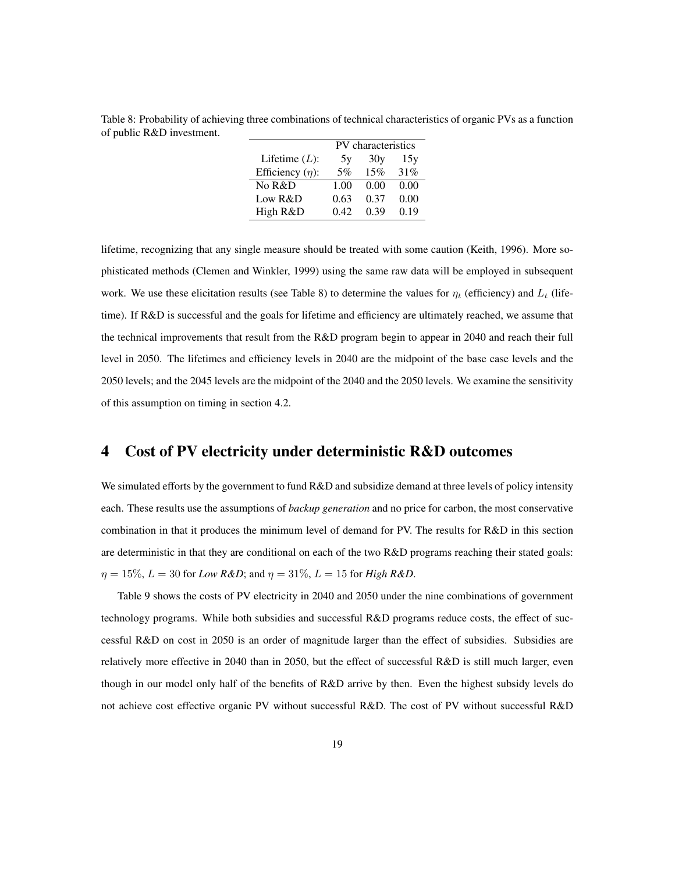Table 8: Probability of achieving three combinations of technical characteristics of organic PVs as a function of public R&D investment.

|                       | PV characteristics |      |      |  |  |  |  |
|-----------------------|--------------------|------|------|--|--|--|--|
| Lifetime $(L)$ :      | 5v                 | 30y  | 15y  |  |  |  |  |
| Efficiency $(\eta)$ : | 5%                 | 15%  | 31%  |  |  |  |  |
| No R&D                | 1.00               | 0.00 | 0.00 |  |  |  |  |
| Low R&D               | 0.63               | 0.37 | 0.00 |  |  |  |  |
| High R&D              | 0.42               | 0.39 | 0.19 |  |  |  |  |

lifetime, recognizing that any single measure should be treated with some caution (Keith, 1996). More sophisticated methods (Clemen and Winkler, 1999) using the same raw data will be employed in subsequent work. We use these elicitation results (see Table 8) to determine the values for  $\eta_t$  (efficiency) and  $L_t$  (lifetime). If R&D is successful and the goals for lifetime and efficiency are ultimately reached, we assume that the technical improvements that result from the R&D program begin to appear in 2040 and reach their full level in 2050. The lifetimes and efficiency levels in 2040 are the midpoint of the base case levels and the 2050 levels; and the 2045 levels are the midpoint of the 2040 and the 2050 levels. We examine the sensitivity of this assumption on timing in section 4.2.

## 4 Cost of PV electricity under deterministic R&D outcomes

We simulated efforts by the government to fund R&D and subsidize demand at three levels of policy intensity each. These results use the assumptions of *backup generation* and no price for carbon, the most conservative combination in that it produces the minimum level of demand for PV. The results for R&D in this section are deterministic in that they are conditional on each of the two R&D programs reaching their stated goals:  $\eta = 15\%, L = 30$  for *Low R&D*; and  $\eta = 31\%, L = 15$  for *High R&D*.

Table 9 shows the costs of PV electricity in 2040 and 2050 under the nine combinations of government technology programs. While both subsidies and successful R&D programs reduce costs, the effect of successful R&D on cost in 2050 is an order of magnitude larger than the effect of subsidies. Subsidies are relatively more effective in 2040 than in 2050, but the effect of successful R&D is still much larger, even though in our model only half of the benefits of R&D arrive by then. Even the highest subsidy levels do not achieve cost effective organic PV without successful R&D. The cost of PV without successful R&D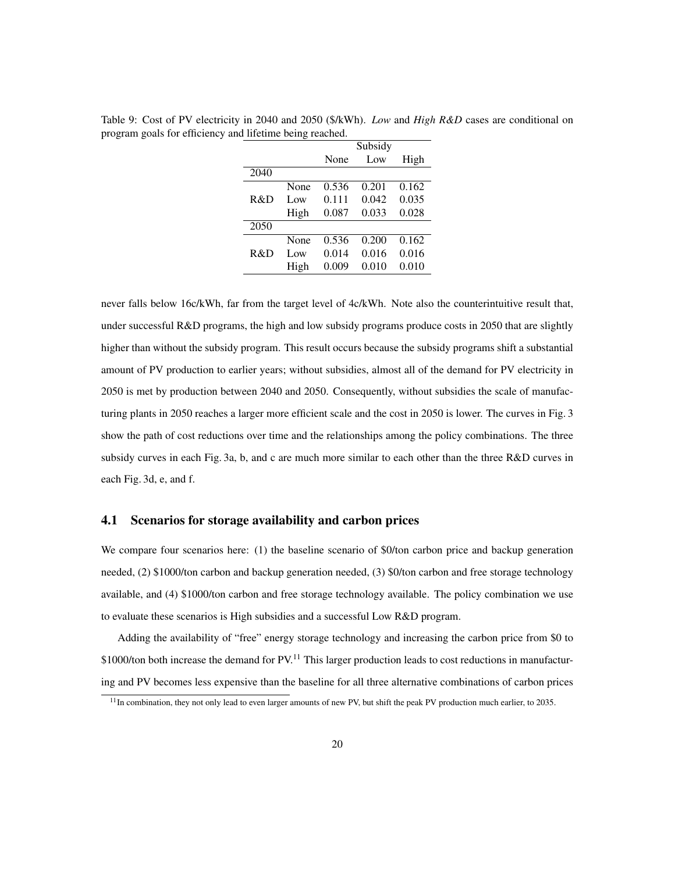|        |      |       | Subsidy |       |
|--------|------|-------|---------|-------|
|        |      | None  | Low     | High  |
| 2040   |      |       |         |       |
|        | None | 0.536 | 0.201   | 0.162 |
| $R\&D$ | Low  | 0.111 | 0.042   | 0.035 |
|        | High | 0.087 | 0.033   | 0.028 |
| 2050   |      |       |         |       |
|        | None | 0.536 | 0.200   | 0.162 |
| R&D    | Low  | 0.014 | 0.016   | 0.016 |
|        | High | 0.009 | 0.010   | 0.010 |

Table 9: Cost of PV electricity in 2040 and 2050 (\$/kWh). *Low* and *High R&D* cases are conditional on program goals for efficiency and lifetime being reached.

never falls below 16c/kWh, far from the target level of 4c/kWh. Note also the counterintuitive result that, under successful R&D programs, the high and low subsidy programs produce costs in 2050 that are slightly higher than without the subsidy program. This result occurs because the subsidy programs shift a substantial amount of PV production to earlier years; without subsidies, almost all of the demand for PV electricity in 2050 is met by production between 2040 and 2050. Consequently, without subsidies the scale of manufacturing plants in 2050 reaches a larger more efficient scale and the cost in 2050 is lower. The curves in Fig. 3 show the path of cost reductions over time and the relationships among the policy combinations. The three subsidy curves in each Fig. 3a, b, and c are much more similar to each other than the three R&D curves in each Fig. 3d, e, and f.

#### 4.1 Scenarios for storage availability and carbon prices

We compare four scenarios here: (1) the baseline scenario of \$0/ton carbon price and backup generation needed, (2) \$1000/ton carbon and backup generation needed, (3) \$0/ton carbon and free storage technology available, and (4) \$1000/ton carbon and free storage technology available. The policy combination we use to evaluate these scenarios is High subsidies and a successful Low R&D program.

Adding the availability of "free" energy storage technology and increasing the carbon price from \$0 to \$1000/ton both increase the demand for  $PV<sup>11</sup>$ . This larger production leads to cost reductions in manufacturing and PV becomes less expensive than the baseline for all three alternative combinations of carbon prices

 $11$ In combination, they not only lead to even larger amounts of new PV, but shift the peak PV production much earlier, to 2035.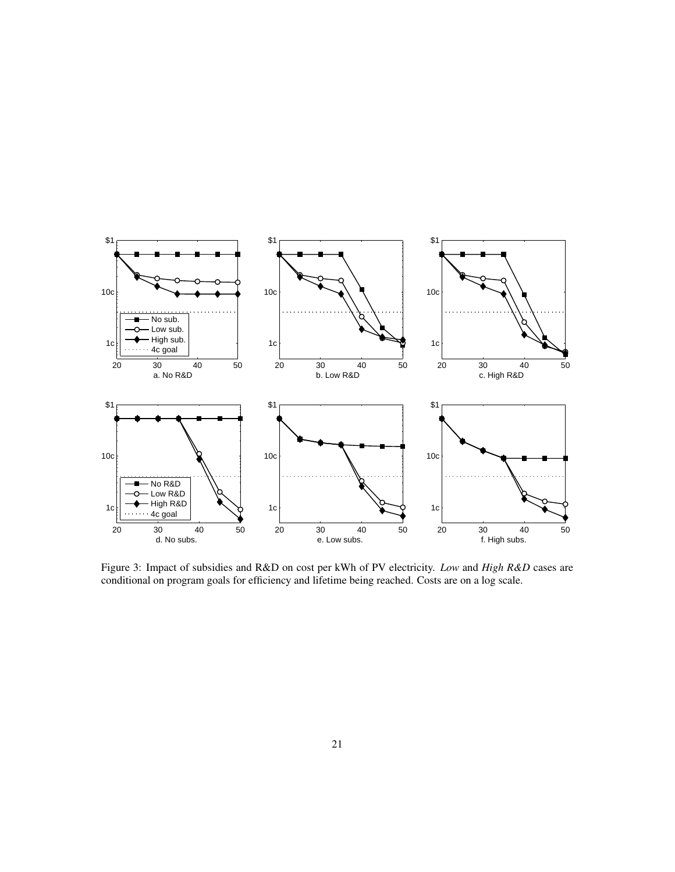

Figure 3: Impact of subsidies and R&D on cost per kWh of PV electricity. *Low* and *High R&D* cases are conditional on program goals for efficiency and lifetime being reached. Costs are on a log scale.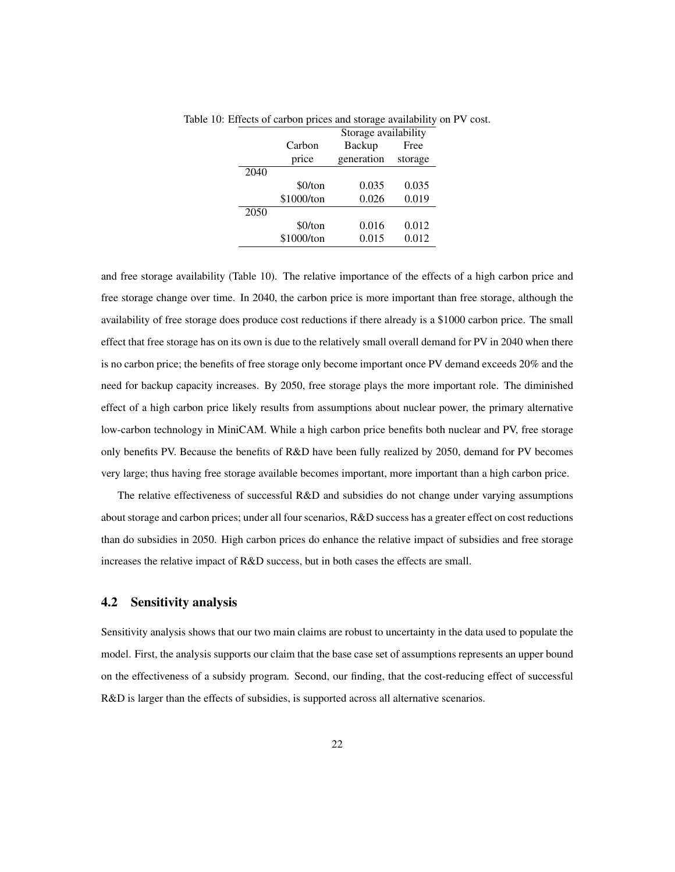|      | Storage availability |                |         |  |  |  |
|------|----------------------|----------------|---------|--|--|--|
|      | Carbon               | Backup<br>Free |         |  |  |  |
|      | price                | generation     | storage |  |  |  |
| 2040 |                      |                |         |  |  |  |
|      | \$0/ton              | 0.035          | 0.035   |  |  |  |
|      | \$1000/ton           | 0.026          | 0.019   |  |  |  |
| 2050 |                      |                |         |  |  |  |
|      | \$0/ton              | 0.016          | 0.012   |  |  |  |
|      | \$1000/ton           | 0.015          | 0.012   |  |  |  |

Table 10: Effects of carbon prices and storage availability on PV cost.

and free storage availability (Table 10). The relative importance of the effects of a high carbon price and free storage change over time. In 2040, the carbon price is more important than free storage, although the availability of free storage does produce cost reductions if there already is a \$1000 carbon price. The small effect that free storage has on its own is due to the relatively small overall demand for PV in 2040 when there is no carbon price; the benefits of free storage only become important once PV demand exceeds 20% and the need for backup capacity increases. By 2050, free storage plays the more important role. The diminished effect of a high carbon price likely results from assumptions about nuclear power, the primary alternative low-carbon technology in MiniCAM. While a high carbon price benefits both nuclear and PV, free storage only benefits PV. Because the benefits of R&D have been fully realized by 2050, demand for PV becomes very large; thus having free storage available becomes important, more important than a high carbon price.

The relative effectiveness of successful R&D and subsidies do not change under varying assumptions about storage and carbon prices; under all four scenarios, R&D success has a greater effect on cost reductions than do subsidies in 2050. High carbon prices do enhance the relative impact of subsidies and free storage increases the relative impact of R&D success, but in both cases the effects are small.

#### 4.2 Sensitivity analysis

Sensitivity analysis shows that our two main claims are robust to uncertainty in the data used to populate the model. First, the analysis supports our claim that the base case set of assumptions represents an upper bound on the effectiveness of a subsidy program. Second, our finding, that the cost-reducing effect of successful R&D is larger than the effects of subsidies, is supported across all alternative scenarios.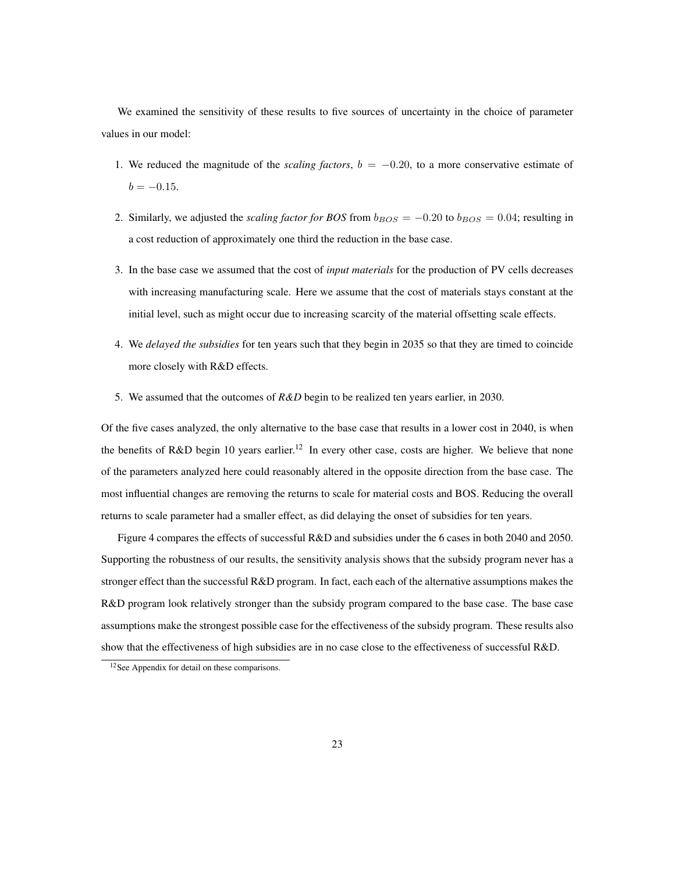We examined the sensitivity of these results to five sources of uncertainty in the choice of parameter values in our model:

- 1. We reduced the magnitude of the *scaling factors*,  $b = -0.20$ , to a more conservative estimate of  $b = -0.15$ .
- 2. Similarly, we adjusted the *scaling factor for BOS* from  $b_{BOS} = -0.20$  to  $b_{BOS} = 0.04$ ; resulting in a cost reduction of approximately one third the reduction in the base case.
- 3. In the base case we assumed that the cost of *input materials* for the production of PV cells decreases with increasing manufacturing scale. Here we assume that the cost of materials stays constant at the initial level, such as might occur due to increasing scarcity of the material offsetting scale effects.
- 4. We *delayed the subsidies* for ten years such that they begin in 2035 so that they are timed to coincide more closely with R&D effects.
- 5. We assumed that the outcomes of *R&D* begin to be realized ten years earlier, in 2030.

Of the five cases analyzed, the only alternative to the base case that results in a lower cost in 2040, is when the benefits of R&D begin 10 years earlier.<sup>12</sup> In every other case, costs are higher. We believe that none of the parameters analyzed here could reasonably altered in the opposite direction from the base case. The most influential changes are removing the returns to scale for material costs and BOS. Reducing the overall returns to scale parameter had a smaller effect, as did delaying the onset of subsidies for ten years.

Figure 4 compares the effects of successful R&D and subsidies under the 6 cases in both 2040 and 2050. Supporting the robustness of our results, the sensitivity analysis shows that the subsidy program never has a stronger effect than the successful R&D program. In fact, each each of the alternative assumptions makes the R&D program look relatively stronger than the subsidy program compared to the base case. The base case assumptions make the strongest possible case for the effectiveness of the subsidy program. These results also show that the effectiveness of high subsidies are in no case close to the effectiveness of successful R&D.

<sup>&</sup>lt;sup>12</sup>See Appendix for detail on these comparisons.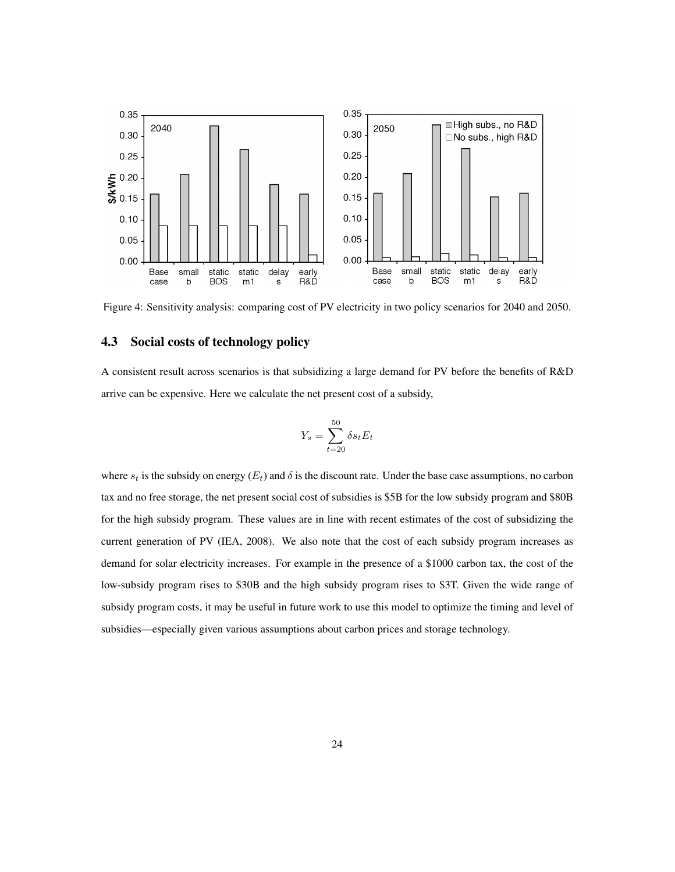

Figure 4: Sensitivity analysis: comparing cost of PV electricity in two policy scenarios for 2040 and 2050.

#### 4.3 Social costs of technology policy

A consistent result across scenarios is that subsidizing a large demand for PV before the benefits of R&D arrive can be expensive. Here we calculate the net present cost of a subsidy,

$$
Y_s = \sum_{t=20}^{50} \delta s_t E_t
$$

where  $s_t$  is the subsidy on energy  $(E_t)$  and  $\delta$  is the discount rate. Under the base case assumptions, no carbon tax and no free storage, the net present social cost of subsidies is \$5B for the low subsidy program and \$80B for the high subsidy program. These values are in line with recent estimates of the cost of subsidizing the current generation of PV (IEA, 2008). We also note that the cost of each subsidy program increases as demand for solar electricity increases. For example in the presence of a \$1000 carbon tax, the cost of the low-subsidy program rises to \$30B and the high subsidy program rises to \$3T. Given the wide range of subsidy program costs, it may be useful in future work to use this model to optimize the timing and level of subsidies—especially given various assumptions about carbon prices and storage technology.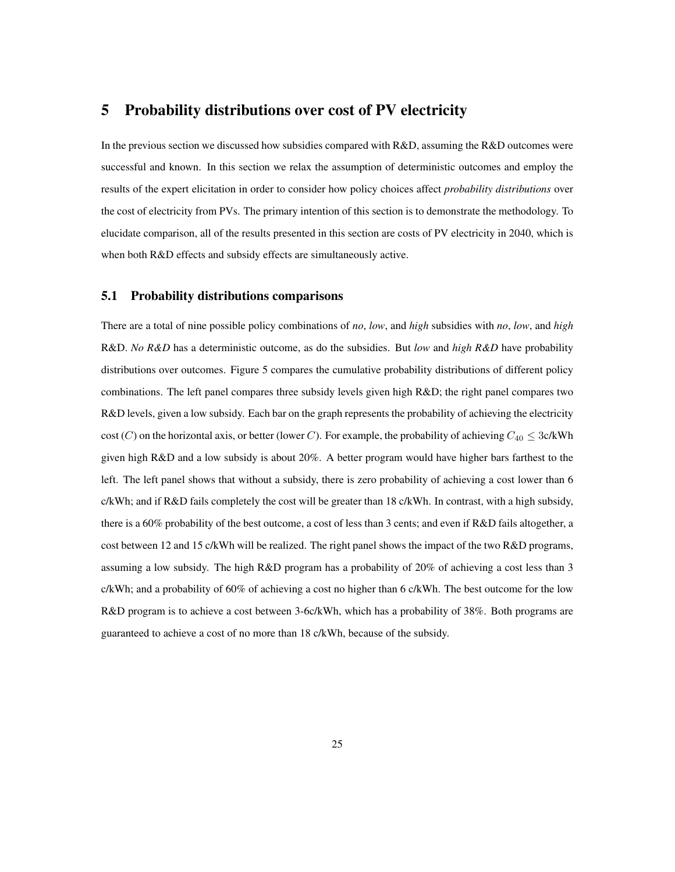## 5 Probability distributions over cost of PV electricity

In the previous section we discussed how subsidies compared with R&D, assuming the R&D outcomes were successful and known. In this section we relax the assumption of deterministic outcomes and employ the results of the expert elicitation in order to consider how policy choices affect *probability distributions* over the cost of electricity from PVs. The primary intention of this section is to demonstrate the methodology. To elucidate comparison, all of the results presented in this section are costs of PV electricity in 2040, which is when both R&D effects and subsidy effects are simultaneously active.

#### 5.1 Probability distributions comparisons

There are a total of nine possible policy combinations of *no*, *low*, and *high* subsidies with *no*, *low*, and *high* R&D. *No R&D* has a deterministic outcome, as do the subsidies. But *low* and *high R&D* have probability distributions over outcomes. Figure 5 compares the cumulative probability distributions of different policy combinations. The left panel compares three subsidy levels given high R&D; the right panel compares two R&D levels, given a low subsidy. Each bar on the graph represents the probability of achieving the electricity cost (C) on the horizontal axis, or better (lower C). For example, the probability of achieving  $C_{40} \leq 3c/\text{kWh}$ given high R&D and a low subsidy is about 20%. A better program would have higher bars farthest to the left. The left panel shows that without a subsidy, there is zero probability of achieving a cost lower than 6 c/kWh; and if R&D fails completely the cost will be greater than 18 c/kWh. In contrast, with a high subsidy, there is a 60% probability of the best outcome, a cost of less than 3 cents; and even if R&D fails altogether, a cost between 12 and 15 c/kWh will be realized. The right panel shows the impact of the two R&D programs, assuming a low subsidy. The high R&D program has a probability of 20% of achieving a cost less than 3 c/kWh; and a probability of 60% of achieving a cost no higher than 6 c/kWh. The best outcome for the low R&D program is to achieve a cost between 3-6c/kWh, which has a probability of 38%. Both programs are guaranteed to achieve a cost of no more than 18 c/kWh, because of the subsidy.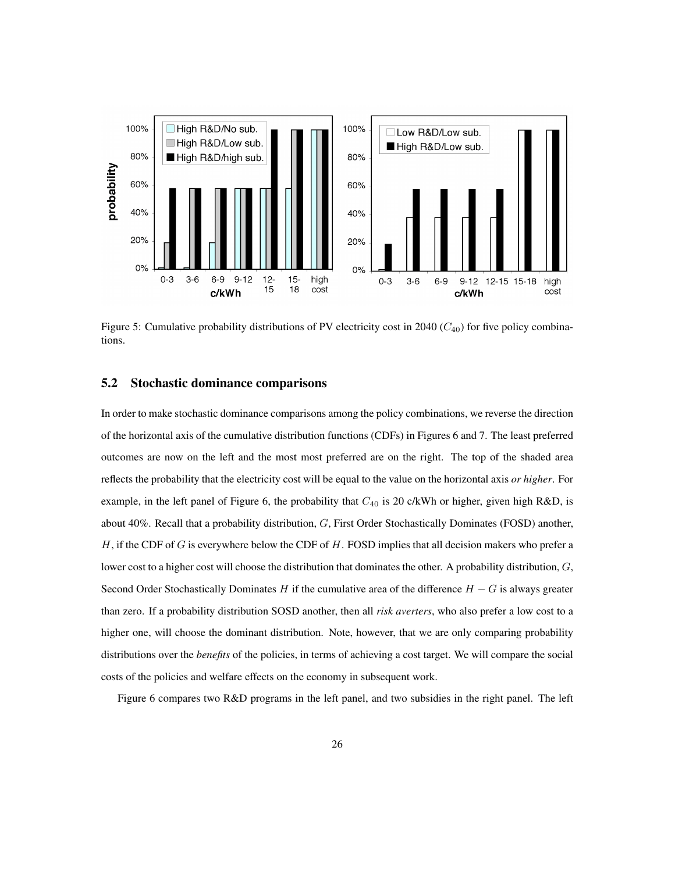

Figure 5: Cumulative probability distributions of PV electricity cost in 2040 ( $C_{40}$ ) for five policy combinations.

#### 5.2 Stochastic dominance comparisons

In order to make stochastic dominance comparisons among the policy combinations, we reverse the direction of the horizontal axis of the cumulative distribution functions (CDFs) in Figures 6 and 7. The least preferred outcomes are now on the left and the most most preferred are on the right. The top of the shaded area reflects the probability that the electricity cost will be equal to the value on the horizontal axis *or higher*. For example, in the left panel of Figure 6, the probability that  $C_{40}$  is 20 c/kWh or higher, given high R&D, is about 40%. Recall that a probability distribution, G, First Order Stochastically Dominates (FOSD) another, H, if the CDF of G is everywhere below the CDF of H. FOSD implies that all decision makers who prefer a lower cost to a higher cost will choose the distribution that dominates the other. A probability distribution, G, Second Order Stochastically Dominates H if the cumulative area of the difference  $H - G$  is always greater than zero. If a probability distribution SOSD another, then all *risk averters*, who also prefer a low cost to a higher one, will choose the dominant distribution. Note, however, that we are only comparing probability distributions over the *benefits* of the policies, in terms of achieving a cost target. We will compare the social costs of the policies and welfare effects on the economy in subsequent work.

Figure 6 compares two R&D programs in the left panel, and two subsidies in the right panel. The left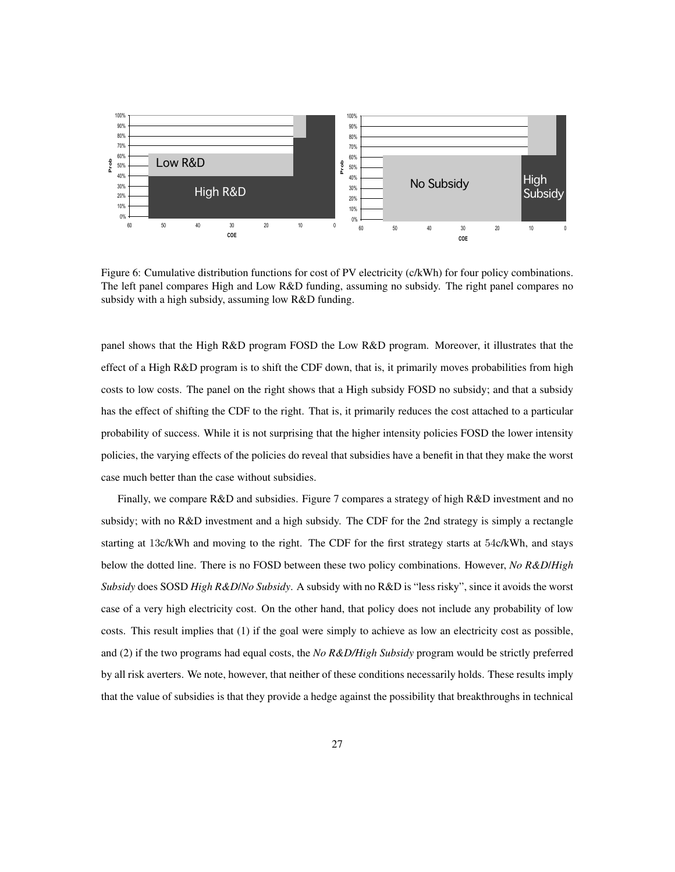

Figure 6: Cumulative distribution functions for cost of PV electricity (c/kWh) for four policy combinations. The left panel compares High and Low R&D funding, assuming no subsidy. The right panel compares no subsidy with a high subsidy, assuming low R&D funding.

panel shows that the High R&D program FOSD the Low R&D program. Moreover, it illustrates that the effect of a High R&D program is to shift the CDF down, that is, it primarily moves probabilities from high costs to low costs. The panel on the right shows that a High subsidy FOSD no subsidy; and that a subsidy has the effect of shifting the CDF to the right. That is, it primarily reduces the cost attached to a particular probability of success. While it is not surprising that the higher intensity policies FOSD the lower intensity policies, the varying effects of the policies do reveal that subsidies have a benefit in that they make the worst case much better than the case without subsidies.

Finally, we compare R&D and subsidies. Figure 7 compares a strategy of high R&D investment and no subsidy; with no R&D investment and a high subsidy. The CDF for the 2nd strategy is simply a rectangle starting at 13c/kWh and moving to the right. The CDF for the first strategy starts at 54c/kWh, and stays below the dotted line. There is no FOSD between these two policy combinations. However, *No R&D*/*High Subsidy* does SOSD *High R&D*/*No Subsidy*. A subsidy with no R&D is "less risky", since it avoids the worst case of a very high electricity cost. On the other hand, that policy does not include any probability of low costs. This result implies that (1) if the goal were simply to achieve as low an electricity cost as possible, and (2) if the two programs had equal costs, the *No R&D/High Subsidy* program would be strictly preferred by all risk averters. We note, however, that neither of these conditions necessarily holds. These results imply that the value of subsidies is that they provide a hedge against the possibility that breakthroughs in technical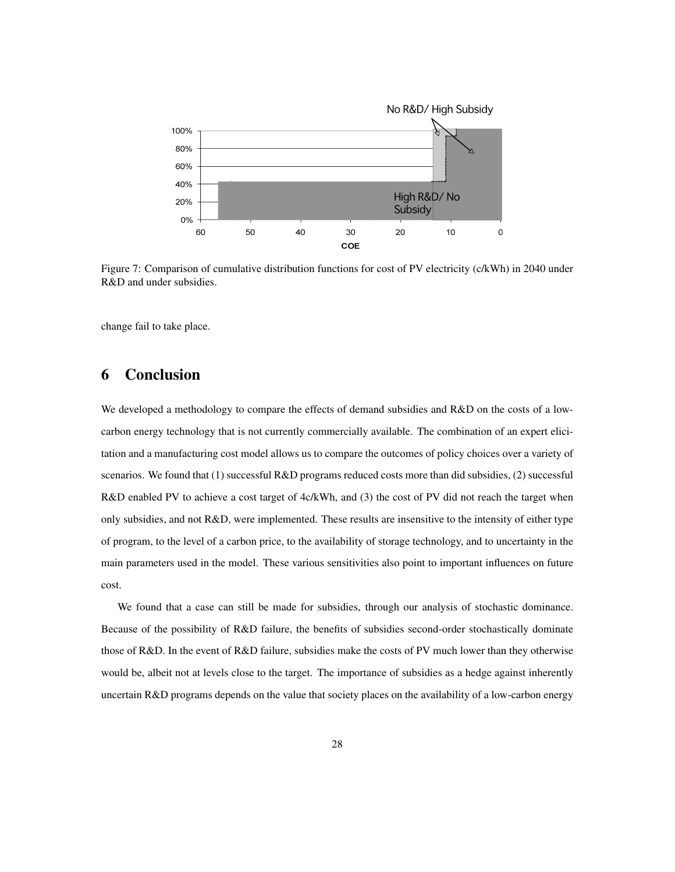

Figure 7: Comparison of cumulative distribution functions for cost of PV electricity (c/kWh) in 2040 under R&D and under subsidies.

change fail to take place.

## 6 Conclusion

We developed a methodology to compare the effects of demand subsidies and R&D on the costs of a lowcarbon energy technology that is not currently commercially available. The combination of an expert elicitation and a manufacturing cost model allows us to compare the outcomes of policy choices over a variety of scenarios. We found that (1) successful R&D programs reduced costs more than did subsidies, (2) successful R&D enabled PV to achieve a cost target of 4c/kWh, and (3) the cost of PV did not reach the target when only subsidies, and not R&D, were implemented. These results are insensitive to the intensity of either type of program, to the level of a carbon price, to the availability of storage technology, and to uncertainty in the main parameters used in the model. These various sensitivities also point to important influences on future cost.

We found that a case can still be made for subsidies, through our analysis of stochastic dominance. Because of the possibility of R&D failure, the benefits of subsidies second-order stochastically dominate those of R&D. In the event of R&D failure, subsidies make the costs of PV much lower than they otherwise would be, albeit not at levels close to the target. The importance of subsidies as a hedge against inherently uncertain R&D programs depends on the value that society places on the availability of a low-carbon energy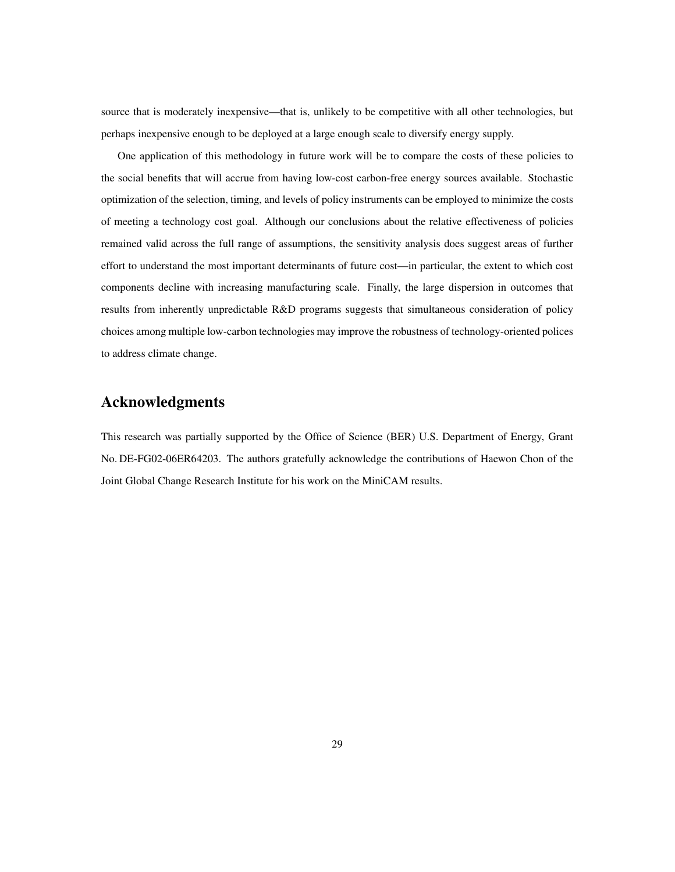source that is moderately inexpensive—that is, unlikely to be competitive with all other technologies, but perhaps inexpensive enough to be deployed at a large enough scale to diversify energy supply.

One application of this methodology in future work will be to compare the costs of these policies to the social benefits that will accrue from having low-cost carbon-free energy sources available. Stochastic optimization of the selection, timing, and levels of policy instruments can be employed to minimize the costs of meeting a technology cost goal. Although our conclusions about the relative effectiveness of policies remained valid across the full range of assumptions, the sensitivity analysis does suggest areas of further effort to understand the most important determinants of future cost—in particular, the extent to which cost components decline with increasing manufacturing scale. Finally, the large dispersion in outcomes that results from inherently unpredictable R&D programs suggests that simultaneous consideration of policy choices among multiple low-carbon technologies may improve the robustness of technology-oriented polices to address climate change.

## Acknowledgments

This research was partially supported by the Office of Science (BER) U.S. Department of Energy, Grant No. DE-FG02-06ER64203. The authors gratefully acknowledge the contributions of Haewon Chon of the Joint Global Change Research Institute for his work on the MiniCAM results.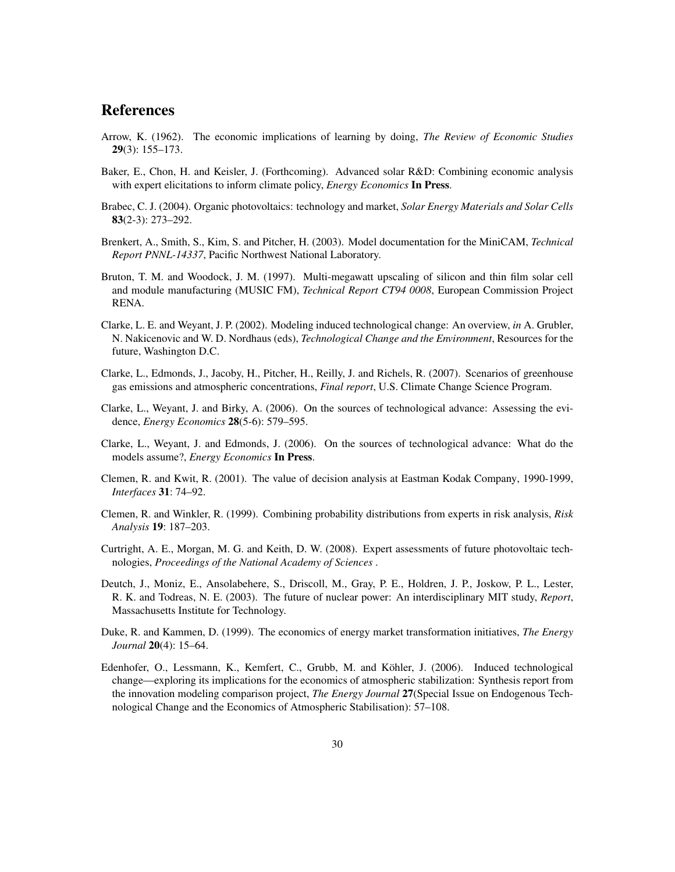## References

- Arrow, K. (1962). The economic implications of learning by doing, *The Review of Economic Studies* 29(3): 155–173.
- Baker, E., Chon, H. and Keisler, J. (Forthcoming). Advanced solar R&D: Combining economic analysis with expert elicitations to inform climate policy, *Energy Economics* In Press.
- Brabec, C. J. (2004). Organic photovoltaics: technology and market, *Solar Energy Materials and Solar Cells* 83(2-3): 273–292.
- Brenkert, A., Smith, S., Kim, S. and Pitcher, H. (2003). Model documentation for the MiniCAM, *Technical Report PNNL-14337*, Pacific Northwest National Laboratory.
- Bruton, T. M. and Woodock, J. M. (1997). Multi-megawatt upscaling of silicon and thin film solar cell and module manufacturing (MUSIC FM), *Technical Report CT94 0008*, European Commission Project RENA.
- Clarke, L. E. and Weyant, J. P. (2002). Modeling induced technological change: An overview, *in* A. Grubler, N. Nakicenovic and W. D. Nordhaus (eds), *Technological Change and the Environment*, Resources for the future, Washington D.C.
- Clarke, L., Edmonds, J., Jacoby, H., Pitcher, H., Reilly, J. and Richels, R. (2007). Scenarios of greenhouse gas emissions and atmospheric concentrations, *Final report*, U.S. Climate Change Science Program.
- Clarke, L., Weyant, J. and Birky, A. (2006). On the sources of technological advance: Assessing the evidence, *Energy Economics* 28(5-6): 579–595.
- Clarke, L., Weyant, J. and Edmonds, J. (2006). On the sources of technological advance: What do the models assume?, *Energy Economics* In Press.
- Clemen, R. and Kwit, R. (2001). The value of decision analysis at Eastman Kodak Company, 1990-1999, *Interfaces* 31: 74–92.
- Clemen, R. and Winkler, R. (1999). Combining probability distributions from experts in risk analysis, *Risk Analysis* 19: 187–203.
- Curtright, A. E., Morgan, M. G. and Keith, D. W. (2008). Expert assessments of future photovoltaic technologies, *Proceedings of the National Academy of Sciences* .
- Deutch, J., Moniz, E., Ansolabehere, S., Driscoll, M., Gray, P. E., Holdren, J. P., Joskow, P. L., Lester, R. K. and Todreas, N. E. (2003). The future of nuclear power: An interdisciplinary MIT study, *Report*, Massachusetts Institute for Technology.
- Duke, R. and Kammen, D. (1999). The economics of energy market transformation initiatives, *The Energy Journal* 20(4): 15–64.
- Edenhofer, O., Lessmann, K., Kemfert, C., Grubb, M. and Köhler, J. (2006). Induced technological change—exploring its implications for the economics of atmospheric stabilization: Synthesis report from the innovation modeling comparison project, *The Energy Journal* 27(Special Issue on Endogenous Technological Change and the Economics of Atmospheric Stabilisation): 57–108.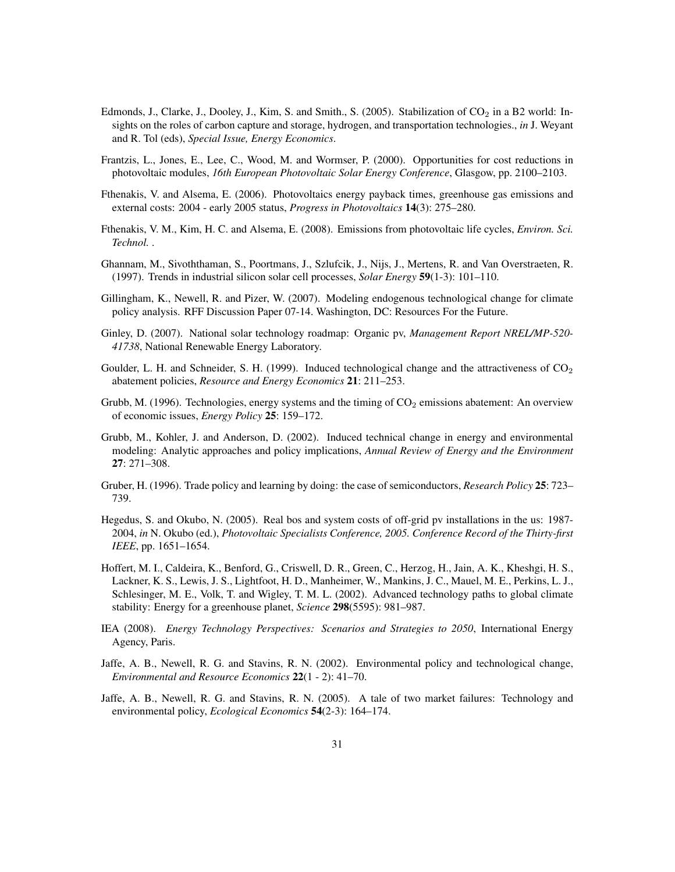- Edmonds, J., Clarke, J., Dooley, J., Kim, S. and Smith., S. (2005). Stabilization of  $CO_2$  in a B2 world: Insights on the roles of carbon capture and storage, hydrogen, and transportation technologies., *in* J. Weyant and R. Tol (eds), *Special Issue, Energy Economics*.
- Frantzis, L., Jones, E., Lee, C., Wood, M. and Wormser, P. (2000). Opportunities for cost reductions in photovoltaic modules, *16th European Photovoltaic Solar Energy Conference*, Glasgow, pp. 2100–2103.
- Fthenakis, V. and Alsema, E. (2006). Photovoltaics energy payback times, greenhouse gas emissions and external costs: 2004 - early 2005 status, *Progress in Photovoltaics* 14(3): 275–280.
- Fthenakis, V. M., Kim, H. C. and Alsema, E. (2008). Emissions from photovoltaic life cycles, *Environ. Sci. Technol.* .
- Ghannam, M., Sivoththaman, S., Poortmans, J., Szlufcik, J., Nijs, J., Mertens, R. and Van Overstraeten, R. (1997). Trends in industrial silicon solar cell processes, *Solar Energy* 59(1-3): 101–110.
- Gillingham, K., Newell, R. and Pizer, W. (2007). Modeling endogenous technological change for climate policy analysis. RFF Discussion Paper 07-14. Washington, DC: Resources For the Future.
- Ginley, D. (2007). National solar technology roadmap: Organic pv, *Management Report NREL/MP-520- 41738*, National Renewable Energy Laboratory.
- Goulder, L. H. and Schneider, S. H. (1999). Induced technological change and the attractiveness of  $CO<sub>2</sub>$ abatement policies, *Resource and Energy Economics* 21: 211–253.
- Grubb, M. (1996). Technologies, energy systems and the timing of  $CO<sub>2</sub>$  emissions abatement: An overview of economic issues, *Energy Policy* 25: 159–172.
- Grubb, M., Kohler, J. and Anderson, D. (2002). Induced technical change in energy and environmental modeling: Analytic approaches and policy implications, *Annual Review of Energy and the Environment* 27: 271–308.
- Gruber, H. (1996). Trade policy and learning by doing: the case of semiconductors, *Research Policy* 25: 723– 739.
- Hegedus, S. and Okubo, N. (2005). Real bos and system costs of off-grid pv installations in the us: 1987- 2004, *in* N. Okubo (ed.), *Photovoltaic Specialists Conference, 2005. Conference Record of the Thirty-first IEEE*, pp. 1651–1654.
- Hoffert, M. I., Caldeira, K., Benford, G., Criswell, D. R., Green, C., Herzog, H., Jain, A. K., Kheshgi, H. S., Lackner, K. S., Lewis, J. S., Lightfoot, H. D., Manheimer, W., Mankins, J. C., Mauel, M. E., Perkins, L. J., Schlesinger, M. E., Volk, T. and Wigley, T. M. L. (2002). Advanced technology paths to global climate stability: Energy for a greenhouse planet, *Science* 298(5595): 981–987.
- IEA (2008). *Energy Technology Perspectives: Scenarios and Strategies to 2050*, International Energy Agency, Paris.
- Jaffe, A. B., Newell, R. G. and Stavins, R. N. (2002). Environmental policy and technological change, *Environmental and Resource Economics* 22(1 - 2): 41–70.
- Jaffe, A. B., Newell, R. G. and Stavins, R. N. (2005). A tale of two market failures: Technology and environmental policy, *Ecological Economics* 54(2-3): 164–174.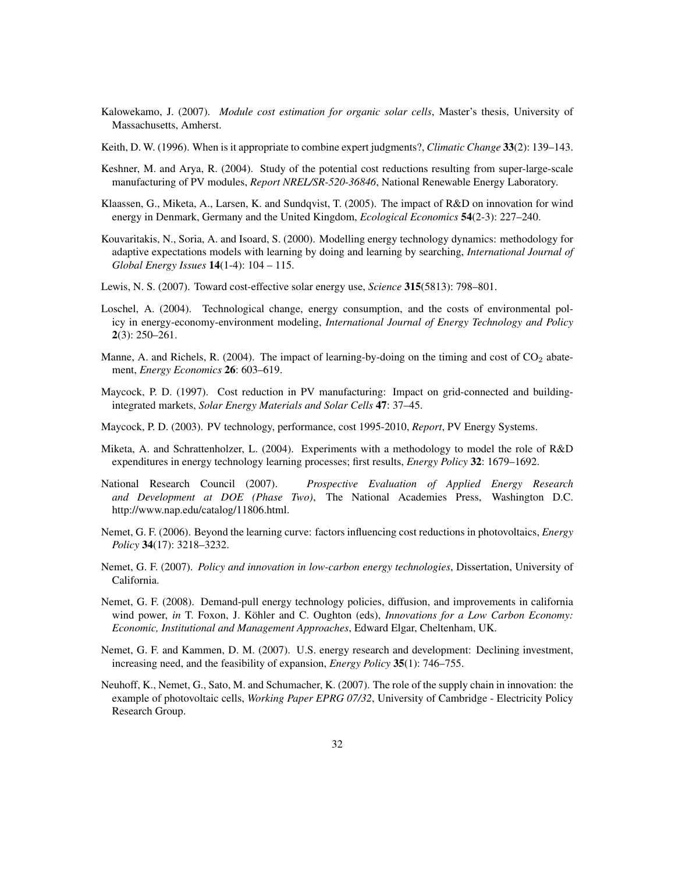- Kalowekamo, J. (2007). *Module cost estimation for organic solar cells*, Master's thesis, University of Massachusetts, Amherst.
- Keith, D. W. (1996). When is it appropriate to combine expert judgments?, *Climatic Change* 33(2): 139–143.
- Keshner, M. and Arya, R. (2004). Study of the potential cost reductions resulting from super-large-scale manufacturing of PV modules, *Report NREL/SR-520-36846*, National Renewable Energy Laboratory.
- Klaassen, G., Miketa, A., Larsen, K. and Sundqvist, T. (2005). The impact of R&D on innovation for wind energy in Denmark, Germany and the United Kingdom, *Ecological Economics* 54(2-3): 227–240.
- Kouvaritakis, N., Soria, A. and Isoard, S. (2000). Modelling energy technology dynamics: methodology for adaptive expectations models with learning by doing and learning by searching, *International Journal of Global Energy Issues* 14(1-4): 104 – 115.
- Lewis, N. S. (2007). Toward cost-effective solar energy use, *Science* 315(5813): 798–801.
- Loschel, A. (2004). Technological change, energy consumption, and the costs of environmental policy in energy-economy-environment modeling, *International Journal of Energy Technology and Policy* 2(3): 250–261.
- Manne, A. and Richels, R. (2004). The impact of learning-by-doing on the timing and cost of  $CO<sub>2</sub>$  abatement, *Energy Economics* 26: 603–619.
- Maycock, P. D. (1997). Cost reduction in PV manufacturing: Impact on grid-connected and buildingintegrated markets, *Solar Energy Materials and Solar Cells* 47: 37–45.
- Maycock, P. D. (2003). PV technology, performance, cost 1995-2010, *Report*, PV Energy Systems.
- Miketa, A. and Schrattenholzer, L. (2004). Experiments with a methodology to model the role of R&D expenditures in energy technology learning processes; first results, *Energy Policy* 32: 1679–1692.
- National Research Council (2007). *Prospective Evaluation of Applied Energy Research and Development at DOE (Phase Two)*, The National Academies Press, Washington D.C. http://www.nap.edu/catalog/11806.html.
- Nemet, G. F. (2006). Beyond the learning curve: factors influencing cost reductions in photovoltaics, *Energy Policy* 34(17): 3218–3232.
- Nemet, G. F. (2007). *Policy and innovation in low-carbon energy technologies*, Dissertation, University of California.
- Nemet, G. F. (2008). Demand-pull energy technology policies, diffusion, and improvements in california wind power, *in* T. Foxon, J. Köhler and C. Oughton (eds), *Innovations for a Low Carbon Economy: Economic, Institutional and Management Approaches*, Edward Elgar, Cheltenham, UK.
- Nemet, G. F. and Kammen, D. M. (2007). U.S. energy research and development: Declining investment, increasing need, and the feasibility of expansion, *Energy Policy* 35(1): 746–755.
- Neuhoff, K., Nemet, G., Sato, M. and Schumacher, K. (2007). The role of the supply chain in innovation: the example of photovoltaic cells, *Working Paper EPRG 07/32*, University of Cambridge - Electricity Policy Research Group.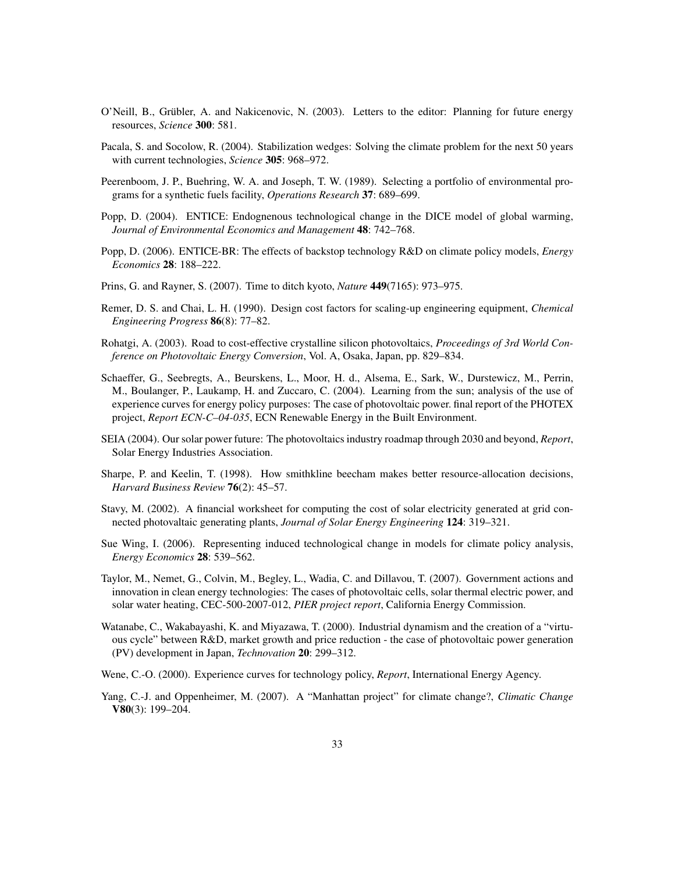- O'Neill, B., Grubler, A. and Nakicenovic, N. (2003). Letters to the editor: Planning for future energy ¨ resources, *Science* 300: 581.
- Pacala, S. and Socolow, R. (2004). Stabilization wedges: Solving the climate problem for the next 50 years with current technologies, *Science* 305: 968–972.
- Peerenboom, J. P., Buehring, W. A. and Joseph, T. W. (1989). Selecting a portfolio of environmental programs for a synthetic fuels facility, *Operations Research* 37: 689–699.
- Popp, D. (2004). ENTICE: Endognenous technological change in the DICE model of global warming, *Journal of Environmental Economics and Management* 48: 742–768.
- Popp, D. (2006). ENTICE-BR: The effects of backstop technology R&D on climate policy models, *Energy Economics* 28: 188–222.
- Prins, G. and Rayner, S. (2007). Time to ditch kyoto, *Nature* 449(7165): 973–975.
- Remer, D. S. and Chai, L. H. (1990). Design cost factors for scaling-up engineering equipment, *Chemical Engineering Progress* 86(8): 77–82.
- Rohatgi, A. (2003). Road to cost-effective crystalline silicon photovoltaics, *Proceedings of 3rd World Conference on Photovoltaic Energy Conversion*, Vol. A, Osaka, Japan, pp. 829–834.
- Schaeffer, G., Seebregts, A., Beurskens, L., Moor, H. d., Alsema, E., Sark, W., Durstewicz, M., Perrin, M., Boulanger, P., Laukamp, H. and Zuccaro, C. (2004). Learning from the sun; analysis of the use of experience curves for energy policy purposes: The case of photovoltaic power. final report of the PHOTEX project, *Report ECN-C–04-035*, ECN Renewable Energy in the Built Environment.
- SEIA (2004). Our solar power future: The photovoltaics industry roadmap through 2030 and beyond, *Report*, Solar Energy Industries Association.
- Sharpe, P. and Keelin, T. (1998). How smithkline beecham makes better resource-allocation decisions, *Harvard Business Review* 76(2): 45–57.
- Stavy, M. (2002). A financial worksheet for computing the cost of solar electricity generated at grid connected photovaltaic generating plants, *Journal of Solar Energy Engineering* 124: 319–321.
- Sue Wing, I. (2006). Representing induced technological change in models for climate policy analysis, *Energy Economics* 28: 539–562.
- Taylor, M., Nemet, G., Colvin, M., Begley, L., Wadia, C. and Dillavou, T. (2007). Government actions and innovation in clean energy technologies: The cases of photovoltaic cells, solar thermal electric power, and solar water heating, CEC-500-2007-012, *PIER project report*, California Energy Commission.
- Watanabe, C., Wakabayashi, K. and Miyazawa, T. (2000). Industrial dynamism and the creation of a "virtuous cycle" between R&D, market growth and price reduction - the case of photovoltaic power generation (PV) development in Japan, *Technovation* 20: 299–312.
- Wene, C.-O. (2000). Experience curves for technology policy, *Report*, International Energy Agency.
- Yang, C.-J. and Oppenheimer, M. (2007). A "Manhattan project" for climate change?, *Climatic Change* V80(3): 199–204.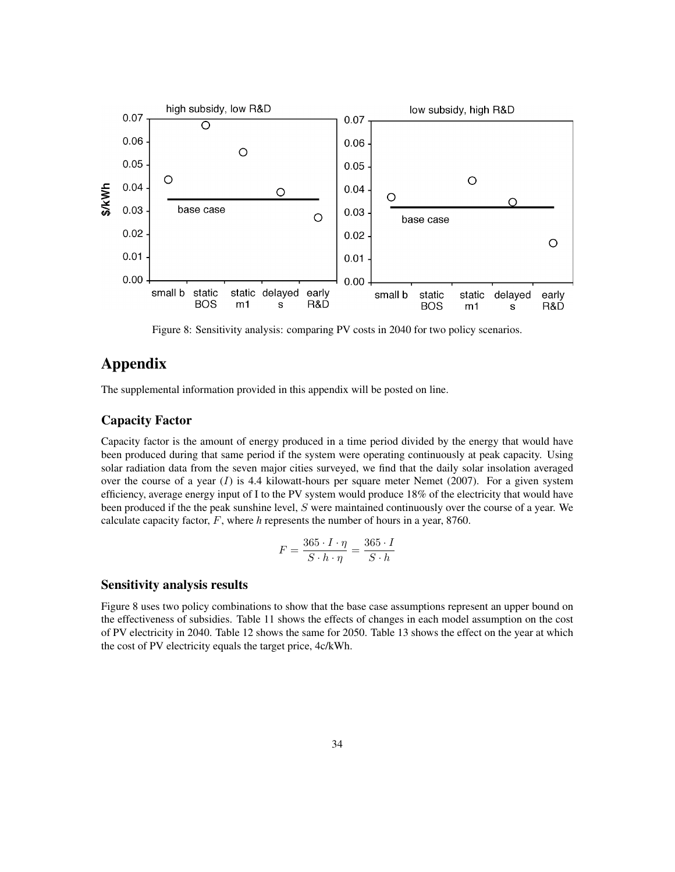

Figure 8: Sensitivity analysis: comparing PV costs in 2040 for two policy scenarios.

## Appendix

The supplemental information provided in this appendix will be posted on line.

#### Capacity Factor

Capacity factor is the amount of energy produced in a time period divided by the energy that would have been produced during that same period if the system were operating continuously at peak capacity. Using solar radiation data from the seven major cities surveyed, we find that the daily solar insolation averaged over the course of a year  $(I)$  is 4.4 kilowatt-hours per square meter Nemet (2007). For a given system efficiency, average energy input of I to the PV system would produce 18% of the electricity that would have been produced if the the peak sunshine level, S were maintained continuously over the course of a year. We calculate capacity factor, F, where *h* represents the number of hours in a year, 8760.

$$
F = \frac{365 \cdot I \cdot \eta}{S \cdot h \cdot \eta} = \frac{365 \cdot I}{S \cdot h}
$$

#### Sensitivity analysis results

Figure 8 uses two policy combinations to show that the base case assumptions represent an upper bound on the effectiveness of subsidies. Table 11 shows the effects of changes in each model assumption on the cost of PV electricity in 2040. Table 12 shows the same for 2050. Table 13 shows the effect on the year at which the cost of PV electricity equals the target price, 4c/kWh.